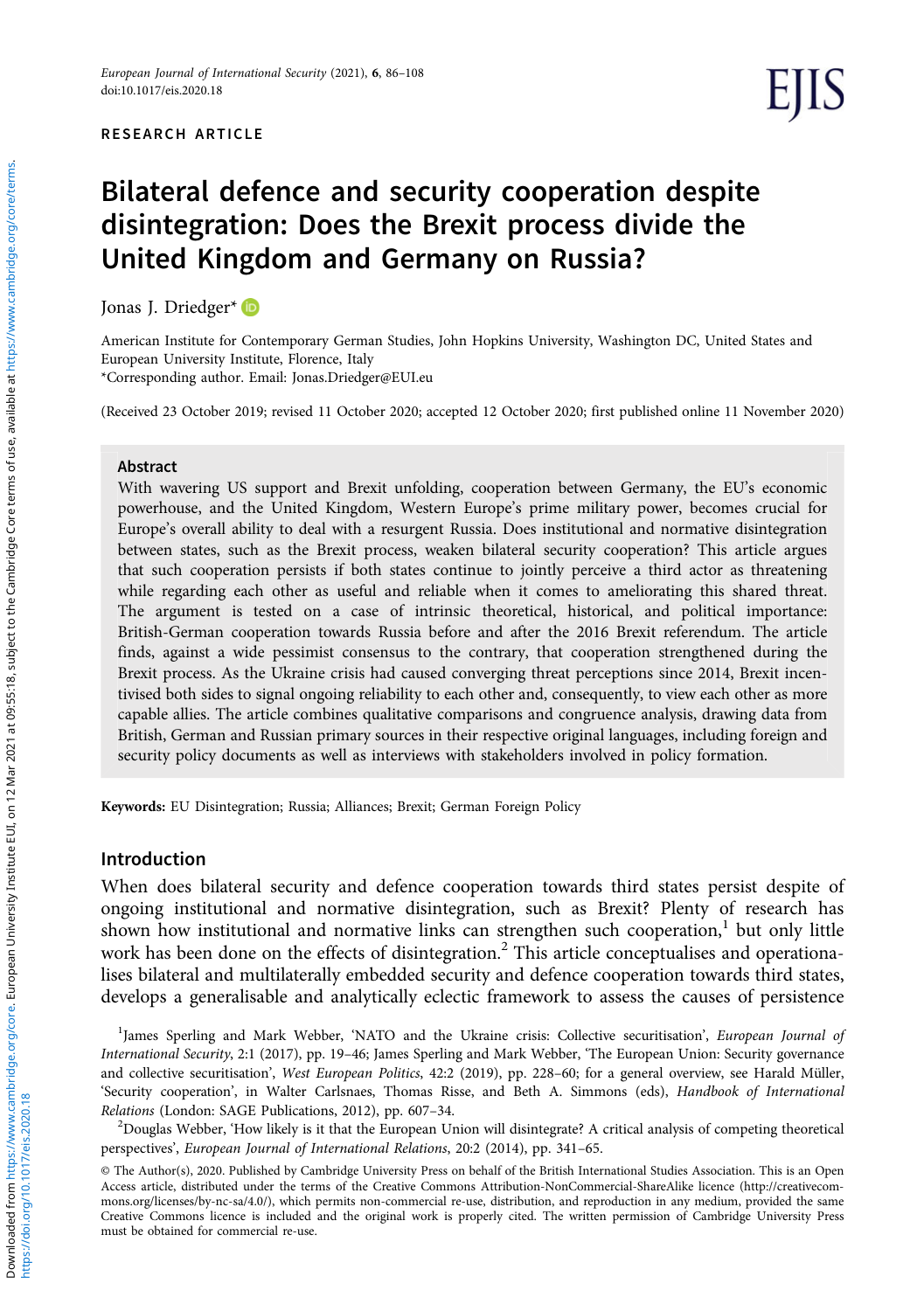

# Bilateral defence and security cooperation despite disintegration: Does the Brexit process divide the United Kingdom and Germany on Russia?

Jonas J. Driedger\*

American Institute for Contemporary German Studies, John Hopkins University, Washington DC, United States and European University Institute, Florence, Italy \*Corresponding author. Email: [Jonas.Driedger@EUI.eu](mailto:Jonas.Driedger@EUI.eu)

(Received 23 October 2019; revised 11 October 2020; accepted 12 October 2020; first published online 11 November 2020)

#### Abstract

With wavering US support and Brexit unfolding, cooperation between Germany, the EU's economic powerhouse, and the United Kingdom, Western Europe's prime military power, becomes crucial for Europe's overall ability to deal with a resurgent Russia. Does institutional and normative disintegration between states, such as the Brexit process, weaken bilateral security cooperation? This article argues that such cooperation persists if both states continue to jointly perceive a third actor as threatening while regarding each other as useful and reliable when it comes to ameliorating this shared threat. The argument is tested on a case of intrinsic theoretical, historical, and political importance: British-German cooperation towards Russia before and after the 2016 Brexit referendum. The article finds, against a wide pessimist consensus to the contrary, that cooperation strengthened during the Brexit process. As the Ukraine crisis had caused converging threat perceptions since 2014, Brexit incentivised both sides to signal ongoing reliability to each other and, consequently, to view each other as more capable allies. The article combines qualitative comparisons and congruence analysis, drawing data from British, German and Russian primary sources in their respective original languages, including foreign and security policy documents as well as interviews with stakeholders involved in policy formation.

Keywords: EU Disintegration; Russia; Alliances; Brexit; German Foreign Policy

#### Introduction

When does bilateral security and defence cooperation towards third states persist despite of ongoing institutional and normative disintegration, such as Brexit? Plenty of research has shown how institutional and normative links can strengthen such cooperation,<sup>1</sup> but only little work has been done on the effects of disintegration.<sup>2</sup> This article conceptualises and operationalises bilateral and multilaterally embedded security and defence cooperation towards third states, develops a generalisable and analytically eclectic framework to assess the causes of persistence

<sup>1</sup>James Sperling and Mark Webber, 'NATO and the Ukraine crisis: Collective securitisation', European Journal of International Security, 2:1 (2017), pp. 19–46; James Sperling and Mark Webber, 'The European Union: Security governance and collective securitisation', West European Politics, 42:2 (2019), pp. 228–60; for a general overview, see Harald Müller, 'Security cooperation', in Walter Carlsnaes, Thomas Risse, and Beth A. Simmons (eds), Handbook of International Relations (London: SAGE Publications, 2012), pp. 607–34. <sup>2</sup>

<sup>2</sup>Douglas Webber, 'How likely is it that the European Union will disintegrate? A critical analysis of competing theoretical perspectives', European Journal of International Relations, 20:2 (2014), pp. 341–65.

<sup>©</sup> The Author(s), 2020. Published by Cambridge University Press on behalf of the British International Studies Association. This is an Open Access article, distributed under the terms of the Creative Commons Attribution-NonCommercial-ShareAlike licence [\(http://creativecom](http://creativecommons.org/licenses/by-nc-sa/4.0/)[mons.org/licenses/by-nc-sa/4.0/\)](http://creativecommons.org/licenses/by-nc-sa/4.0/), which permits non-commercial re-use, distribution, and reproduction in any medium, provided the same Creative Commons licence is included and the original work is properly cited. The written permission of Cambridge University Press must be obtained for commercial re-use.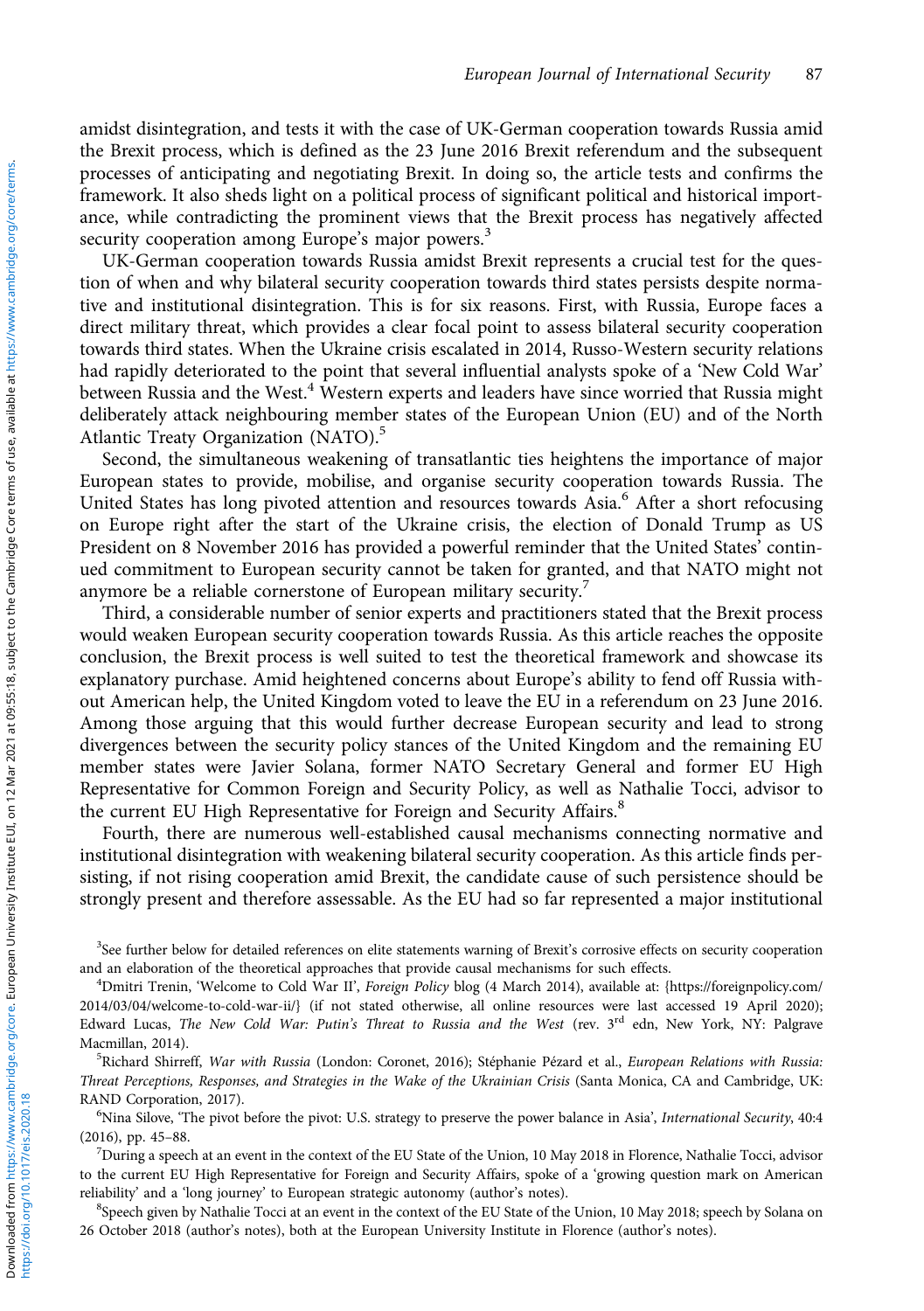amidst disintegration, and tests it with the case of UK-German cooperation towards Russia amid the Brexit process, which is defined as the 23 June 2016 Brexit referendum and the subsequent processes of anticipating and negotiating Brexit. In doing so, the article tests and confirms the framework. It also sheds light on a political process of significant political and historical importance, while contradicting the prominent views that the Brexit process has negatively affected security cooperation among Europe's major powers.<sup>3</sup>

UK-German cooperation towards Russia amidst Brexit represents a crucial test for the question of when and why bilateral security cooperation towards third states persists despite normative and institutional disintegration. This is for six reasons. First, with Russia, Europe faces a direct military threat, which provides a clear focal point to assess bilateral security cooperation towards third states. When the Ukraine crisis escalated in 2014, Russo-Western security relations had rapidly deteriorated to the point that several influential analysts spoke of a 'New Cold War' between Russia and the West.<sup>4</sup> Western experts and leaders have since worried that Russia might deliberately attack neighbouring member states of the European Union (EU) and of the North Atlantic Treaty Organization (NATO).<sup>5</sup>

Second, the simultaneous weakening of transatlantic ties heightens the importance of major European states to provide, mobilise, and organise security cooperation towards Russia. The United States has long pivoted attention and resources towards Asia.<sup>6</sup> After a short refocusing on Europe right after the start of the Ukraine crisis, the election of Donald Trump as US President on 8 November 2016 has provided a powerful reminder that the United States' continued commitment to European security cannot be taken for granted, and that NATO might not anymore be a reliable cornerstone of European military security.<sup>7</sup>

Third, a considerable number of senior experts and practitioners stated that the Brexit process would weaken European security cooperation towards Russia. As this article reaches the opposite conclusion, the Brexit process is well suited to test the theoretical framework and showcase its explanatory purchase. Amid heightened concerns about Europe's ability to fend off Russia without American help, the United Kingdom voted to leave the EU in a referendum on 23 June 2016. Among those arguing that this would further decrease European security and lead to strong divergences between the security policy stances of the United Kingdom and the remaining EU member states were Javier Solana, former NATO Secretary General and former EU High Representative for Common Foreign and Security Policy, as well as Nathalie Tocci, advisor to the current EU High Representative for Foreign and Security Affairs.<sup>8</sup>

Fourth, there are numerous well-established causal mechanisms connecting normative and institutional disintegration with weakening bilateral security cooperation. As this article finds persisting, if not rising cooperation amid Brexit, the candidate cause of such persistence should be strongly present and therefore assessable. As the EU had so far represented a major institutional

<sup>3</sup>See further below for detailed references on elite statements warning of Brexit's corrosive effects on security cooperation and an elaboration of the theoretical approaches that provide causal mechanisms for such effects. <sup>4</sup>

<sup>6</sup>Nina Silove, 'The pivot before the pivot: U.S. strategy to preserve the power balance in Asia', International Security, 40:4 (2016), pp. 45–88. <sup>7</sup>

During a speech at an event in the context of the EU State of the Union, 10 May 2018 in Florence, Nathalie Tocci, advisor to the current EU High Representative for Foreign and Security Affairs, spoke of a 'growing question mark on American reliability' and a 'long journey' to European strategic autonomy (author's notes).

<sup>8</sup>Speech given by Nathalie Tocci at an event in the context of the EU State of the Union, 10 May 2018; speech by Solana on 26 October 2018 (author's notes), both at the European University Institute in Florence (author's notes).

<sup>&</sup>lt;sup>4</sup>Dmitri Trenin, 'Welcome to Cold War II', Foreign Policy blog (4 March 2014), available at: {[https://foreignpolicy.com/](https://foreignpolicy.com/2014/03/04/welcome-to-cold-war-ii/) [2014/03/04/welcome-to-cold-war-ii/}](https://foreignpolicy.com/2014/03/04/welcome-to-cold-war-ii/) (if not stated otherwise, all online resources were last accessed 19 April 2020); Edward Lucas, The New Cold War: Putin's Threat to Russia and the West (rev. 3<sup>rd</sup> edn, New York, NY: Palgrave Macmillan, 2014).

<sup>&</sup>lt;sup>5</sup>Richard Shirreff, War with Russia (London: Coronet, 2016); Stéphanie Pézard et al., European Relations with Russia: Threat Perceptions, Responses, and Strategies in the Wake of the Ukrainian Crisis (Santa Monica, CA and Cambridge, UK: RAND Corporation, 2017).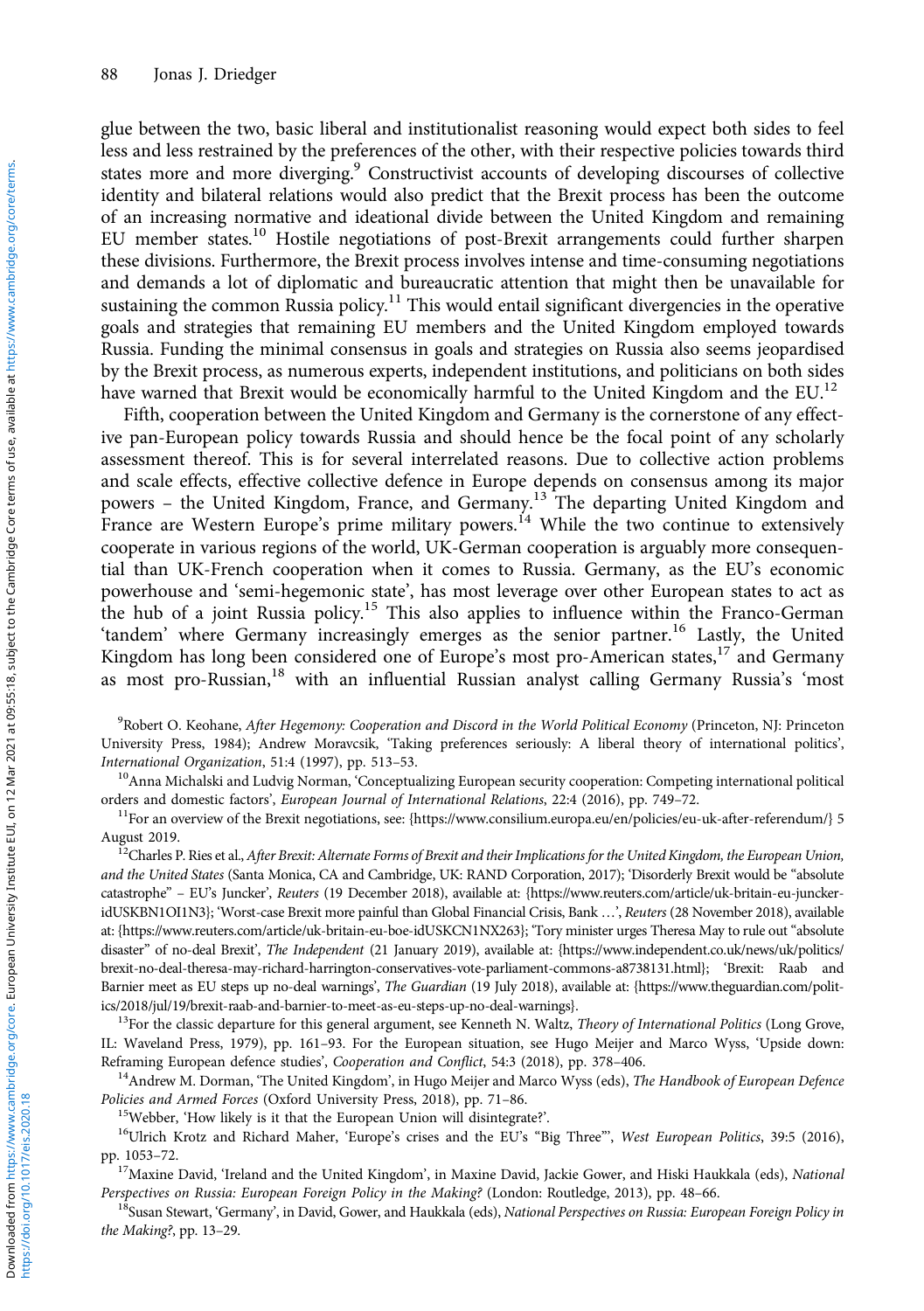glue between the two, basic liberal and institutionalist reasoning would expect both sides to feel less and less restrained by the preferences of the other, with their respective policies towards third states more and more diverging.<sup>9</sup> Constructivist accounts of developing discourses of collective identity and bilateral relations would also predict that the Brexit process has been the outcome of an increasing normative and ideational divide between the United Kingdom and remaining EU member states.10 Hostile negotiations of post-Brexit arrangements could further sharpen these divisions. Furthermore, the Brexit process involves intense and time-consuming negotiations and demands a lot of diplomatic and bureaucratic attention that might then be unavailable for sustaining the common Russia policy.<sup>11</sup> This would entail significant divergencies in the operative goals and strategies that remaining EU members and the United Kingdom employed towards Russia. Funding the minimal consensus in goals and strategies on Russia also seems jeopardised by the Brexit process, as numerous experts, independent institutions, and politicians on both sides have warned that Brexit would be economically harmful to the United Kingdom and the EU.<sup>12</sup>

Fifth, cooperation between the United Kingdom and Germany is the cornerstone of any effective pan-European policy towards Russia and should hence be the focal point of any scholarly assessment thereof. This is for several interrelated reasons. Due to collective action problems and scale effects, effective collective defence in Europe depends on consensus among its major powers – the United Kingdom, France, and Germany.13 The departing United Kingdom and France are Western Europe's prime military powers.<sup>14</sup> While the two continue to extensively cooperate in various regions of the world, UK-German cooperation is arguably more consequential than UK-French cooperation when it comes to Russia. Germany, as the EU's economic powerhouse and 'semi-hegemonic state', has most leverage over other European states to act as the hub of a joint Russia policy.15 This also applies to influence within the Franco-German 'tandem' where Germany increasingly emerges as the senior partner.<sup>16</sup> Lastly, the United Kingdom has long been considered one of Europe's most pro-American states,<sup>17</sup> and Germany as most pro-Russian,<sup>18</sup> with an influential Russian analyst calling Germany Russia's 'most

<sup>9</sup>Robert O. Keohane, After Hegemony: Cooperation and Discord in the World Political Economy (Princeton, NJ: Princeton University Press, 1984); Andrew Moravcsik, 'Taking preferences seriously: A liberal theory of international politics', International Organization, 51:4 (1997), pp. 513–53.<br><sup>10</sup>Anna Michalski and Ludvig Norman, 'Conceptualizing European security cooperation: Competing international political

orders and domestic factors', European Journal of International Relations, 22:4 (2016), pp. 749–72.<br><sup>11</sup>For an overview of the Brexit negotiations, see: [{https://www.consilium.europa.eu/en/policies/eu-uk-after-referendum/](https://www.consilium.europa.eu/en/policies/eu-uk-after-referendum/)}

August 2019.<br><sup>12</sup>Charles P. Ries et al., After Brexit: Alternate Forms of Brexit and their Implications for the United Kingdom, the European Union,

and the United States (Santa Monica, CA and Cambridge, UK: RAND Corporation, 2017); 'Disorderly Brexit would be "absolute catastrophe" – EU's Juncker', Reuters (19 December 2018), available at: [{https://www.reuters.com/article/uk-britain-eu-juncker](https://www.reuters.com/article/uk-britain-eu-juncker-idUSKBN1OI1N3)[idUSKBN1OI1N3}](https://www.reuters.com/article/uk-britain-eu-juncker-idUSKBN1OI1N3); 'Worst-case Brexit more painful than Global Financial Crisis, Bank …', Reuters (28 November 2018), available at: [{https://www.reuters.com/article/uk-britain-eu-boe-idUSKCN1NX263}](https://www.reuters.com/article/uk-britain-eu-boe-idUSKCN1NX263); 'Tory minister urges Theresa May to rule out "absolute disaster" of no-deal Brexit', The Independent (21 January 2019), available at: [{https://www.independent.co.uk/news/uk/politics/](https://www.independent.co.uk/news/uk/politics/brexit-no-deal-theresa-may-richard-harrington-conservatives-vote-parliament-commons-a8738131.html) [brexit-no-deal-theresa-may-richard-harrington-conservatives-vote-parliament-commons-a8738131.html](https://www.independent.co.uk/news/uk/politics/brexit-no-deal-theresa-may-richard-harrington-conservatives-vote-parliament-commons-a8738131.html)}; 'Brexit: Raab and Barnier meet as EU steps up no-deal warnings', The Guardian (19 July 2018), available at: [{https://www.theguardian.com/polit](https://www.theguardian.com/politics/2018/jul/19/brexit-raab-and-barnier-to-meet-as-eu-steps-up-no-deal-warnings)[ics/2018/jul/19/brexit-raab-and-barnier-to-meet-as-eu-steps-up-no-deal-warnings}](https://www.theguardian.com/politics/2018/jul/19/brexit-raab-and-barnier-to-meet-as-eu-steps-up-no-deal-warnings).<br><sup>13</sup>For the classic departure for this general argument, see Kenneth N. Waltz, *Theory of International Politics* (Long Grove,

IL: Waveland Press, 1979), pp. 161–93. For the European situation, see Hugo Meijer and Marco Wyss, 'Upside down: Reframing European defence studies', Cooperation and Conflict, 54:3 (2018), pp. 378–406.<br><sup>14</sup>Andrew M. Dorman, 'The United Kingdom', in Hugo Meijer and Marco Wyss (eds), *The Handbook of European Defence* 

Policies and Armed Forces (Oxford University Press, 2018), pp. 71–86.<br><sup>15</sup>Webber, 'How likely is it that the European Union will disintegrate?'.<br><sup>16</sup>Ulrich Krotz and Richard Maher, 'Europe's crises and the EU's "Big Three"

pp. 1053–72.<br><sup>17</sup>Maxine David, 'Ireland and the United Kingdom', in Maxine David, Jackie Gower, and Hiski Haukkala (eds), National

Perspectives on Russia: European Foreign Policy in the Making? (London: Routledge, 2013), pp. 48–66.<br><sup>18</sup>Susan Stewart, 'Germany', in David, Gower, and Haukkala (eds), National Perspectives on Russia: European Foreign Poli the Making?, pp. 13–29.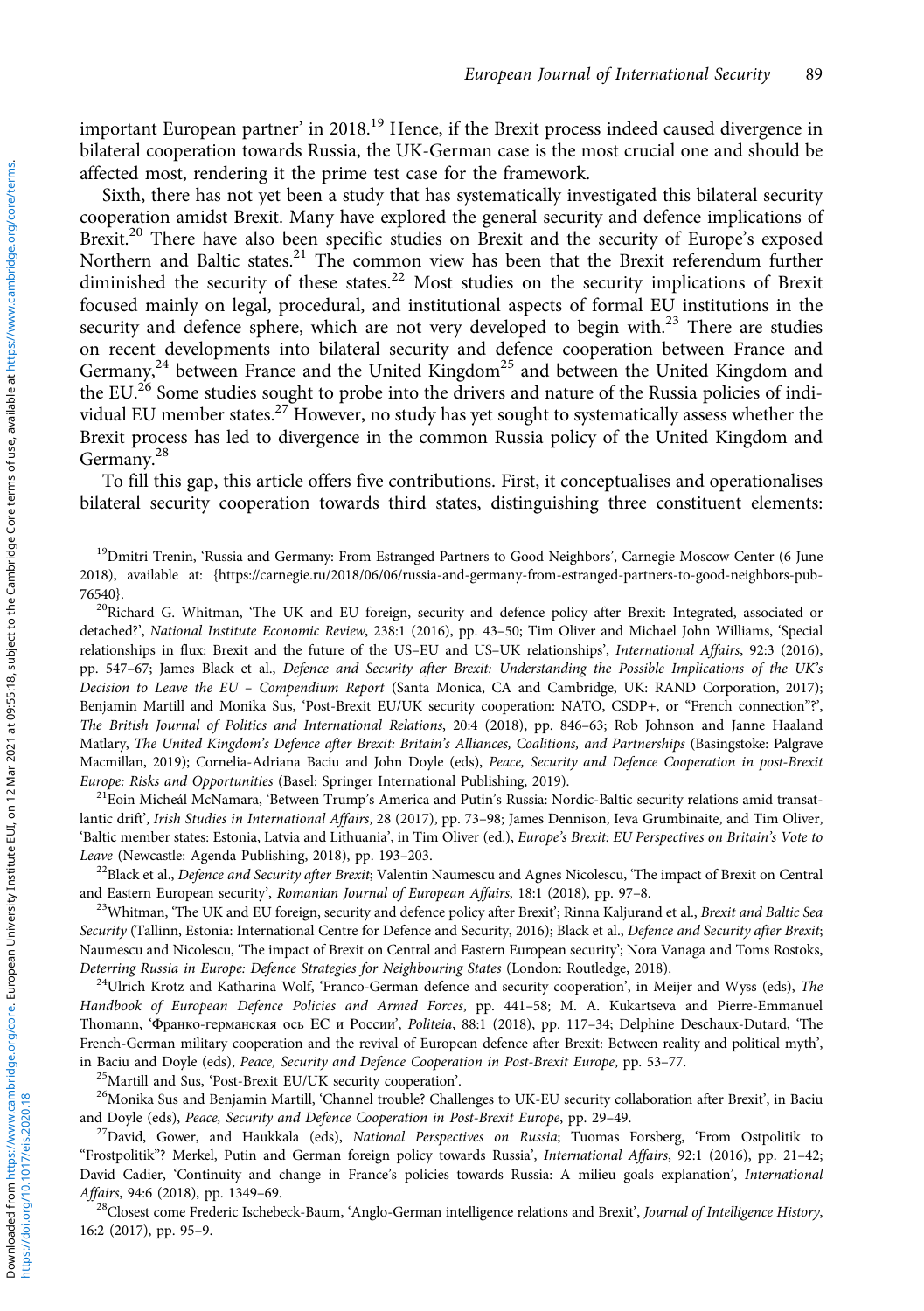important European partner' in 2018.<sup>19</sup> Hence, if the Brexit process indeed caused divergence in bilateral cooperation towards Russia, the UK-German case is the most crucial one and should be affected most, rendering it the prime test case for the framework.

Sixth, there has not yet been a study that has systematically investigated this bilateral security cooperation amidst Brexit. Many have explored the general security and defence implications of Brexit.<sup>20</sup> There have also been specific studies on Brexit and the security of Europe's exposed Northern and Baltic states.<sup>21</sup> The common view has been that the Brexit referendum further diminished the security of these states.<sup>22</sup> Most studies on the security implications of Brexit focused mainly on legal, procedural, and institutional aspects of formal EU institutions in the security and defence sphere, which are not very developed to begin with.<sup>23</sup> There are studies on recent developments into bilateral security and defence cooperation between France and Germany,<sup>24</sup> between France and the United Kingdom<sup>25</sup> and between the United Kingdom and the EU.<sup>26</sup> Some studies sought to probe into the drivers and nature of the Russia policies of individual EU member states.<sup>27</sup> However, no study has yet sought to systematically assess whether the Brexit process has led to divergence in the common Russia policy of the United Kingdom and Germany.<sup>28</sup>

To fill this gap, this article offers five contributions. First, it conceptualises and operationalises bilateral security cooperation towards third states, distinguishing three constituent elements:

<sup>19</sup>Dmitri Trenin, 'Russia and Germany: From Estranged Partners to Good Neighbors', Carnegie Moscow Center (6 June 2018), available at: {[https://carnegie.ru/2018/06/06/russia-and-germany-from-estranged-partners-to-good-neighbors-pub-](https://carnegie.ru/2018/06/06/russia-and-germany-from-estranged-partners-to-good-neighbors-pub-76540)

[76540}](https://carnegie.ru/2018/06/06/russia-and-germany-from-estranged-partners-to-good-neighbors-pub-76540).<br><sup>20</sup>Richard G. Whitman, 'The UK and EU foreign, security and defence policy after Brexit: Integrated, associated or detached?', National Institute Economic Review, 238:1 (2016), pp. 43–50; Tim Oliver and Michael John Williams, 'Special relationships in flux: Brexit and the future of the US–EU and US–UK relationships', International Affairs, 92:3 (2016), pp. 547–67; James Black et al., Defence and Security after Brexit: Understanding the Possible Implications of the UK's Decision to Leave the EU – Compendium Report (Santa Monica, CA and Cambridge, UK: RAND Corporation, 2017); Benjamin Martill and Monika Sus, 'Post-Brexit EU/UK security cooperation: NATO, CSDP+, or "French connection"?', The British Journal of Politics and International Relations, 20:4 (2018), pp. 846–63; Rob Johnson and Janne Haaland Matlary, The United Kingdom's Defence after Brexit: Britain's Alliances, Coalitions, and Partnerships (Basingstoke: Palgrave Macmillan, 2019); Cornelia-Adriana Baciu and John Doyle (eds), Peace, Security and Defence Cooperation in post-Brexit Europe: Risks and Opportunities (Basel: Springer International Publishing, 2019).<br><sup>21</sup>Eoin Micheál McNamara, 'Between Trump's America and Putin's Russia: Nordic-Baltic security relations amid transat-

lantic drift', Irish Studies in International Affairs, 28 (2017), pp. 73–98; James Dennison, Ieva Grumbinaite, and Tim Oliver, 'Baltic member states: Estonia, Latvia and Lithuania', in Tim Oliver (ed.), Europe's Brexit: EU Perspectives on Britain's Vote to

Leave (Newcastle: Agenda Publishing, 2018), pp. 193–203.<br><sup>22</sup>Black et al., *Defence and Security after Brexit*; Valentin Naumescu and Agnes Nicolescu, 'The impact of Brexit on Central and Eastern European security', Romanian Journal of European Affairs, 18:1 (2018), pp. 97-8.<br><sup>23</sup>Whitman, 'The UK and EU foreign, security and defence policy after Brexit'; Rinna Kaljurand et al., Brexit and Baltic Sea

Security (Tallinn, Estonia: International Centre for Defence and Security, 2016); Black et al., Defence and Security after Brexit; Naumescu and Nicolescu, 'The impact of Brexit on Central and Eastern European security'; Nora Vanaga and Toms Rostoks, Deterring Russia in Europe: Defence Strategies for Neighbouring States (London: Routledge, 2018). 24Ulrich Krotz and Katharina Wolf, 'Franco-German defence and security cooperation', in Meijer and Wyss (eds), The

Handbook of European Defence Policies and Armed Forces, pp. 441–58; M. A. Kukartseva and Pierre-Emmanuel Thomann, 'Франко-германская ось ЕС и России', Politeia, 88:1 (2018), pp. 117–34; Delphine Deschaux-Dutard, 'The French-German military cooperation and the revival of European defence after Brexit: Between reality and political myth',

in Baciu and Doyle (eds), *Peace, Security and Defence Cooperation in Post-Brexit Europe*, pp. 53–77.<br><sup>25</sup>Martill and Sus, 'Post-Brexit EU/UK security cooperation'.<br><sup>26</sup>Monika Sus and Benjamin Martill, 'Channel trouble? C and Doyle (eds), Peace, Security and Defence Cooperation in Post-Brexit Europe, pp. 29–49.<br><sup>27</sup>David, Gower, and Haukkala (eds), National Perspectives on Russia; Tuomas Forsberg, 'From Ostpolitik to

"Frostpolitik"? Merkel, Putin and German foreign policy towards Russia', International Affairs, 92:1 (2016), pp. 21–42; David Cadier, 'Continuity and change in France's policies towards Russia: A milieu goals explanation', International

Affairs, 94:6 (2018), pp. 1349–69.<br><sup>28</sup>Closest come Frederic Ischebeck-Baum, 'Anglo-German intelligence relations and Brexit', Journal of Intelligence History, 16:2 (2017), pp. 95–9.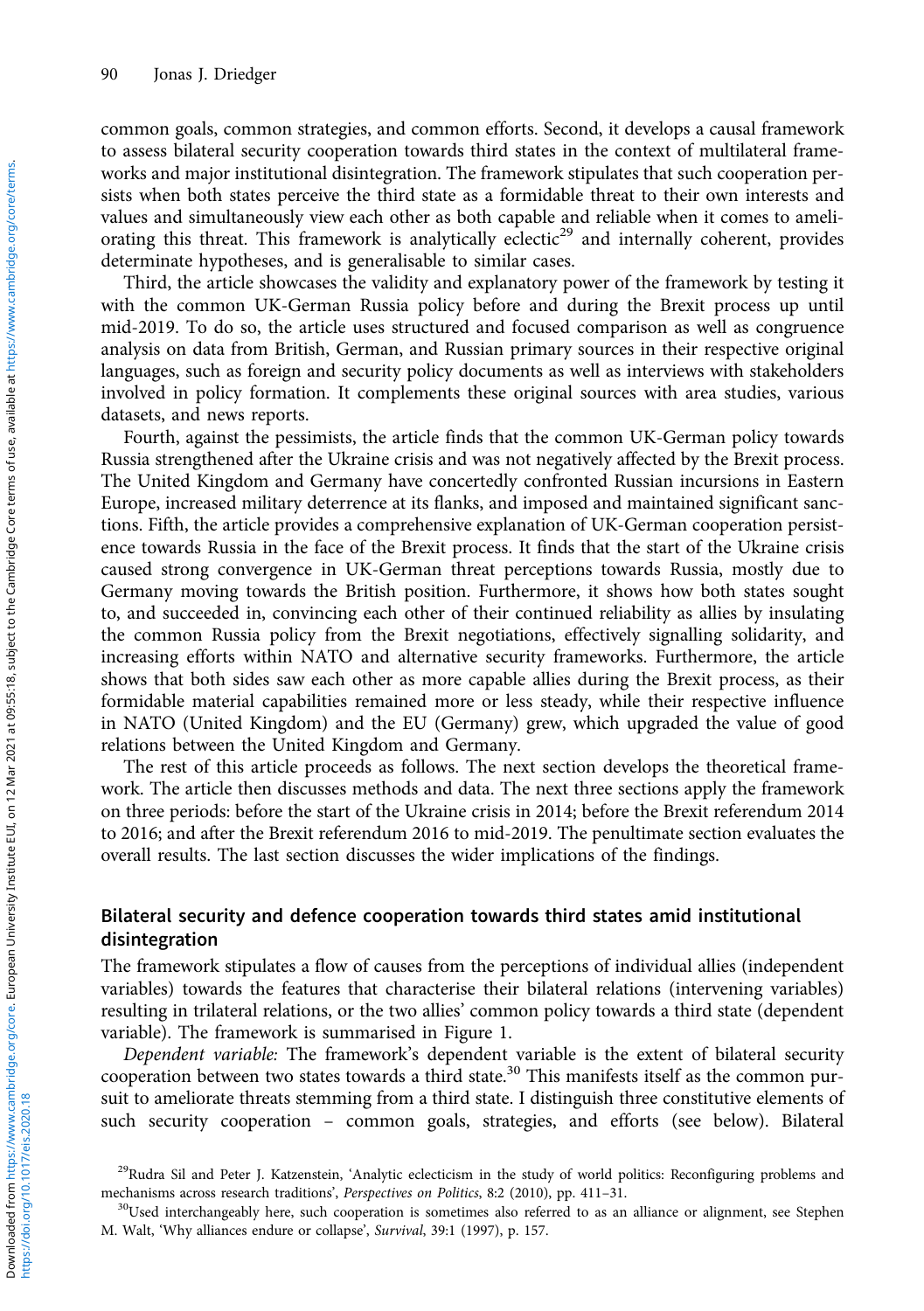common goals, common strategies, and common efforts. Second, it develops a causal framework to assess bilateral security cooperation towards third states in the context of multilateral frameworks and major institutional disintegration. The framework stipulates that such cooperation persists when both states perceive the third state as a formidable threat to their own interests and values and simultaneously view each other as both capable and reliable when it comes to ameliorating this threat. This framework is analytically eclectic<sup>29</sup> and internally coherent, provides determinate hypotheses, and is generalisable to similar cases.

Third, the article showcases the validity and explanatory power of the framework by testing it with the common UK-German Russia policy before and during the Brexit process up until mid-2019. To do so, the article uses structured and focused comparison as well as congruence analysis on data from British, German, and Russian primary sources in their respective original languages, such as foreign and security policy documents as well as interviews with stakeholders involved in policy formation. It complements these original sources with area studies, various datasets, and news reports.

Fourth, against the pessimists, the article finds that the common UK-German policy towards Russia strengthened after the Ukraine crisis and was not negatively affected by the Brexit process. The United Kingdom and Germany have concertedly confronted Russian incursions in Eastern Europe, increased military deterrence at its flanks, and imposed and maintained significant sanctions. Fifth, the article provides a comprehensive explanation of UK-German cooperation persistence towards Russia in the face of the Brexit process. It finds that the start of the Ukraine crisis caused strong convergence in UK-German threat perceptions towards Russia, mostly due to Germany moving towards the British position. Furthermore, it shows how both states sought to, and succeeded in, convincing each other of their continued reliability as allies by insulating the common Russia policy from the Brexit negotiations, effectively signalling solidarity, and increasing efforts within NATO and alternative security frameworks. Furthermore, the article shows that both sides saw each other as more capable allies during the Brexit process, as their formidable material capabilities remained more or less steady, while their respective influence in NATO (United Kingdom) and the EU (Germany) grew, which upgraded the value of good relations between the United Kingdom and Germany.

The rest of this article proceeds as follows. The next section develops the theoretical framework. The article then discusses methods and data. The next three sections apply the framework on three periods: before the start of the Ukraine crisis in 2014; before the Brexit referendum 2014 to 2016; and after the Brexit referendum 2016 to mid-2019. The penultimate section evaluates the overall results. The last section discusses the wider implications of the findings.

## Bilateral security and defence cooperation towards third states amid institutional disintegration

The framework stipulates a flow of causes from the perceptions of individual allies (independent variables) towards the features that characterise their bilateral relations (intervening variables) resulting in trilateral relations, or the two allies' common policy towards a third state (dependent variable). The framework is summarised in [Figure 1](#page-5-0).

Dependent variable: The framework's dependent variable is the extent of bilateral security cooperation between two states towards a third state.<sup>30</sup> This manifests itself as the common pursuit to ameliorate threats stemming from a third state. I distinguish three constitutive elements of such security cooperation – common goals, strategies, and efforts (see below). Bilateral

<sup>&</sup>lt;sup>29</sup>Rudra Sil and Peter J. Katzenstein, 'Analytic eclecticism in the study of world politics: Reconfiguring problems and mechanisms across research traditions', Perspectives on Politics, 8:2 (2010), pp. 411-31.<br><sup>30</sup>Used interchangeably here, such cooperation is sometimes also referred to as an alliance or alignment, see Stephen

M. Walt, 'Why alliances endure or collapse', Survival, 39:1 (1997), p. 157.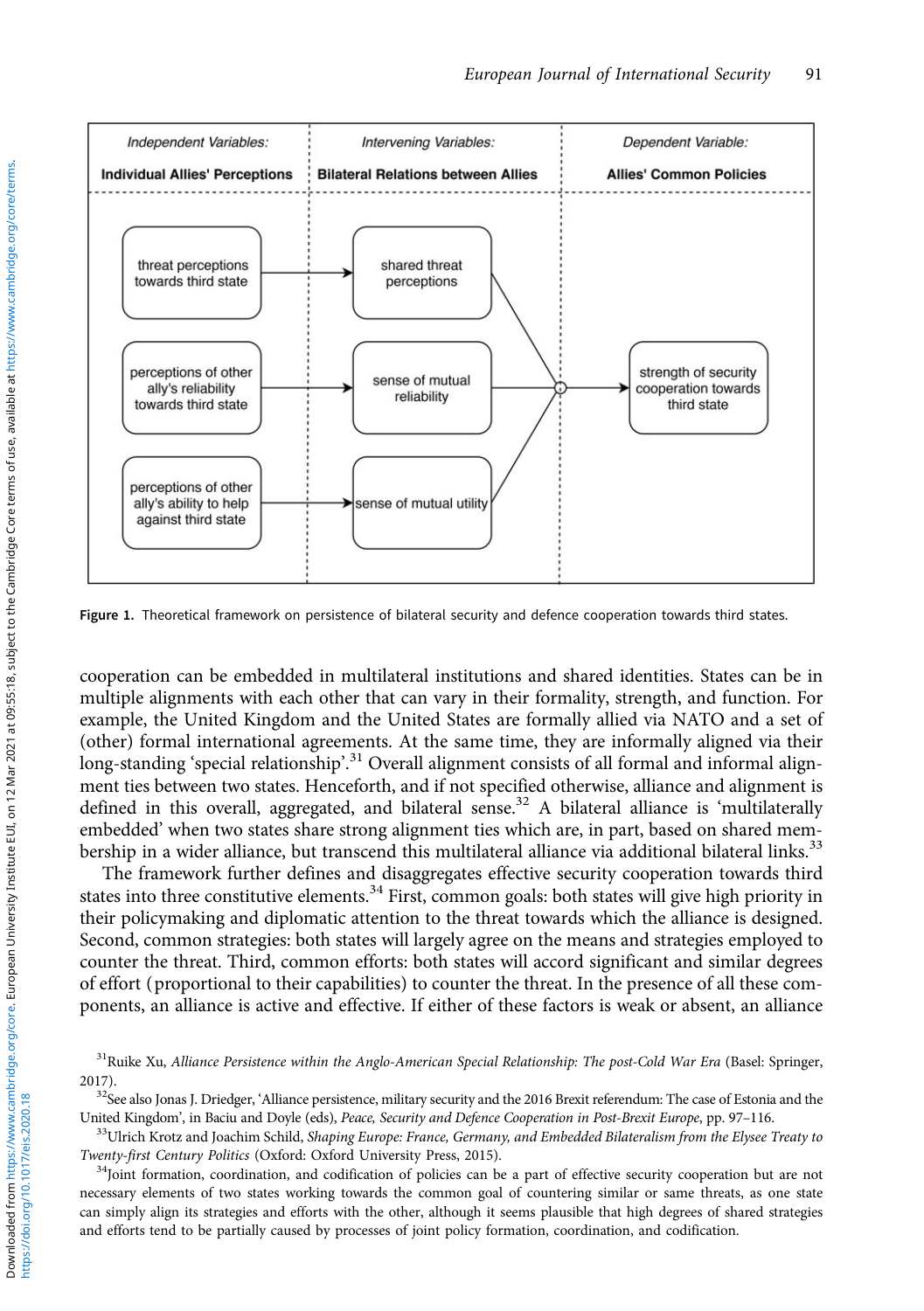<span id="page-5-0"></span>

Figure 1. Theoretical framework on persistence of bilateral security and defence cooperation towards third states.

cooperation can be embedded in multilateral institutions and shared identities. States can be in multiple alignments with each other that can vary in their formality, strength, and function. For example, the United Kingdom and the United States are formally allied via NATO and a set of (other) formal international agreements. At the same time, they are informally aligned via their long-standing 'special relationship'.<sup>31</sup> Overall alignment consists of all formal and informal alignment ties between two states. Henceforth, and if not specified otherwise, alliance and alignment is defined in this overall, aggregated, and bilateral sense.<sup>32</sup> A bilateral alliance is 'multilaterally embedded' when two states share strong alignment ties which are, in part, based on shared membership in a wider alliance, but transcend this multilateral alliance via additional bilateral links.<sup>33</sup>

The framework further defines and disaggregates effective security cooperation towards third states into three constitutive elements.<sup>34</sup> First, common goals: both states will give high priority in their policymaking and diplomatic attention to the threat towards which the alliance is designed. Second, common strategies: both states will largely agree on the means and strategies employed to counter the threat. Third, common efforts: both states will accord significant and similar degrees of effort (proportional to their capabilities) to counter the threat. In the presence of all these components, an alliance is active and effective. If either of these factors is weak or absent, an alliance

 $31$ Ruike Xu, Alliance Persistence within the Anglo-American Special Relationship: The post-Cold War Era (Basel: Springer, 2017).  $32$ See also Jonas J. Driedger, 'Alliance persistence, military security and the 2016 Brexit referendum: The case of Estonia and the  $32$ See also Jonas J. Driedger, 'Alliance persistence, military security and the

United Kingdom', in Baciu and Doyle (eds), Peace, Security and Defence Cooperation in Post-Brexit Europe, pp. 97–116.<br><sup>33</sup>Ulrich Krotz and Joachim Schild, Shaping Europe: France, Germany, and Embedded Bilateralism from the

Twenty-first Century Politics (Oxford: Oxford University Press, 2015).<br><sup>34</sup>Joint formation, coordination, and codification of policies can be a part of effective security cooperation but are not

necessary elements of two states working towards the common goal of countering similar or same threats, as one state can simply align its strategies and efforts with the other, although it seems plausible that high degrees of shared strategies and efforts tend to be partially caused by processes of joint policy formation, coordination, and codification.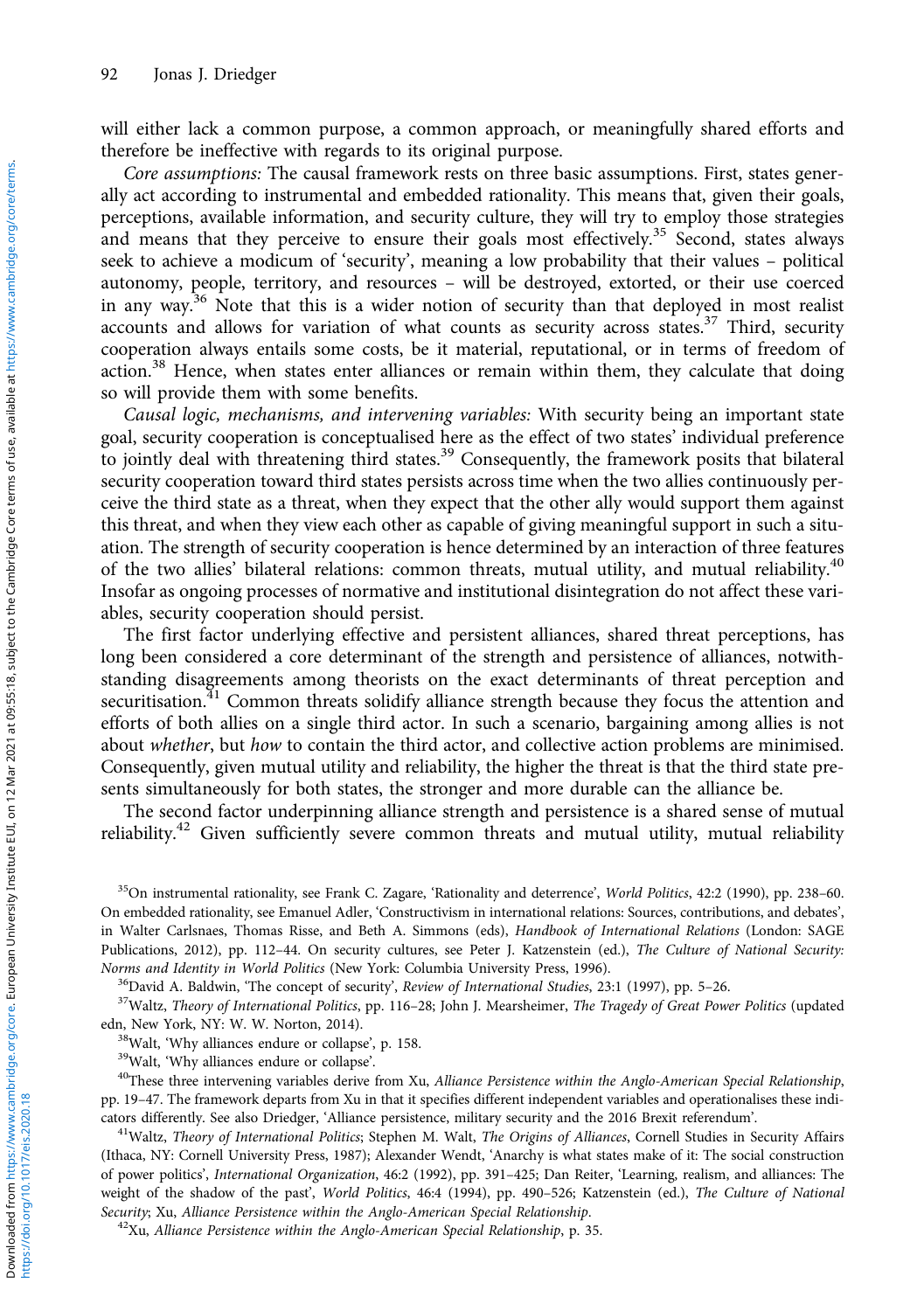will either lack a common purpose, a common approach, or meaningfully shared efforts and therefore be ineffective with regards to its original purpose.

Core assumptions: The causal framework rests on three basic assumptions. First, states generally act according to instrumental and embedded rationality. This means that, given their goals, perceptions, available information, and security culture, they will try to employ those strategies and means that they perceive to ensure their goals most effectively.<sup>35</sup> Second, states always seek to achieve a modicum of 'security', meaning a low probability that their values – political autonomy, people, territory, and resources – will be destroyed, extorted, or their use coerced in any way.<sup>36</sup> Note that this is a wider notion of security than that deployed in most realist accounts and allows for variation of what counts as security across states.<sup>37</sup> Third, security cooperation always entails some costs, be it material, reputational, or in terms of freedom of action.<sup>38</sup> Hence, when states enter alliances or remain within them, they calculate that doing so will provide them with some benefits.

Causal logic, mechanisms, and intervening variables: With security being an important state goal, security cooperation is conceptualised here as the effect of two states' individual preference to jointly deal with threatening third states.<sup>39</sup> Consequently, the framework posits that bilateral security cooperation toward third states persists across time when the two allies continuously perceive the third state as a threat, when they expect that the other ally would support them against this threat, and when they view each other as capable of giving meaningful support in such a situation. The strength of security cooperation is hence determined by an interaction of three features of the two allies' bilateral relations: common threats, mutual utility, and mutual reliability.<sup>40</sup> Insofar as ongoing processes of normative and institutional disintegration do not affect these variables, security cooperation should persist.

The first factor underlying effective and persistent alliances, shared threat perceptions, has long been considered a core determinant of the strength and persistence of alliances, notwithstanding disagreements among theorists on the exact determinants of threat perception and securitisation.<sup>41</sup> Common threats solidify alliance strength because they focus the attention and efforts of both allies on a single third actor. In such a scenario, bargaining among allies is not about whether, but how to contain the third actor, and collective action problems are minimised. Consequently, given mutual utility and reliability, the higher the threat is that the third state presents simultaneously for both states, the stronger and more durable can the alliance be.

The second factor underpinning alliance strength and persistence is a shared sense of mutual reliability.<sup>42</sup> Given sufficiently severe common threats and mutual utility, mutual reliability

<sup>35</sup>On instrumental rationality, see Frank C. Zagare, 'Rationality and deterrence', World Politics, 42:2 (1990), pp. 238-60. On embedded rationality, see Emanuel Adler, 'Constructivism in international relations: Sources, contributions, and debates', in Walter Carlsnaes, Thomas Risse, and Beth A. Simmons (eds), Handbook of International Relations (London: SAGE Publications, 2012), pp. 112-44. On security cultures, see Peter J. Katzenstein (ed.), The Culture of National Security: Norms and Identity in World Politics (New York: Columbia University Press, 1996).<br><sup>36</sup>David A. Baldwin, 'The concept of security', *Review of International Studies*, 23:1 (1997), pp. 5–26.<br><sup>37</sup>Waltz, *Theory of Internation* 

edn, New York, NY: W. W. Norton, 2014).<br><sup>38</sup>Walt, 'Why alliances endure or collapse', p. 158.<br><sup>39</sup>Walt, 'Why alliances endure or collapse'.<br><sup>40</sup>These three intervening variables derive from Xu, *Alliance Persistence within* 

pp. 19–47. The framework departs from Xu in that it specifies different independent variables and operationalises these indicators differently. See also Driedger, 'Alliance persistence, military security and the 2016 Brexit referendum'.<br><sup>41</sup>Waltz, *Theory of International Politics*; Stephen M. Walt, *The Origins of Alliances*, Cornell Studies i

(Ithaca, NY: Cornell University Press, 1987); Alexander Wendt, 'Anarchy is what states make of it: The social construction of power politics', International Organization, 46:2 (1992), pp. 391–425; Dan Reiter, 'Learning, realism, and alliances: The weight of the shadow of the past', World Politics, 46:4 (1994), pp. 490-526; Katzenstein (ed.), The Culture of National

Security; Xu, Alliance Persistence within the Anglo-American Special Relationship.<br><sup>42</sup>Xu, Alliance Persistence within the Anglo-American Special Relationship, p. 35.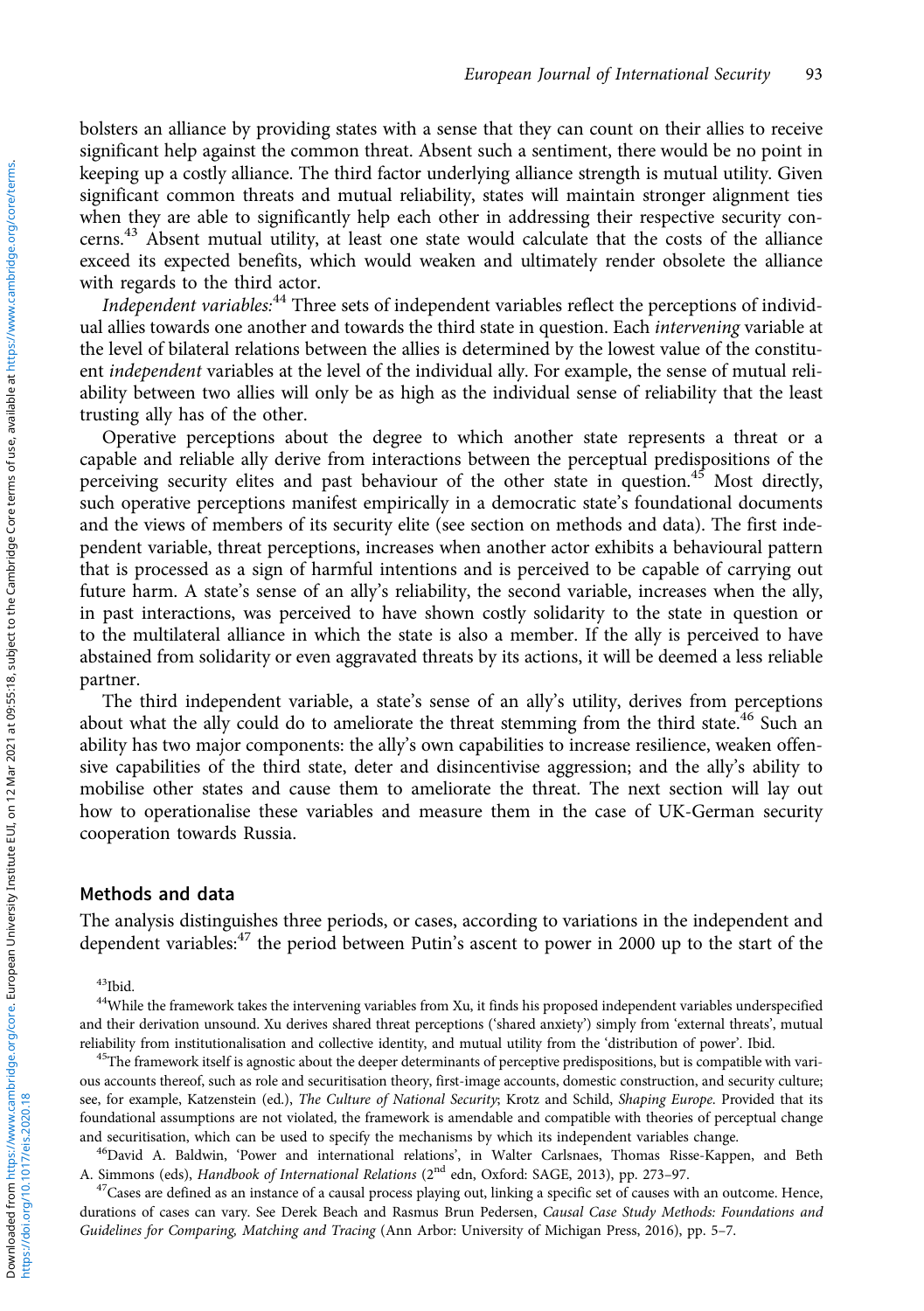bolsters an alliance by providing states with a sense that they can count on their allies to receive significant help against the common threat. Absent such a sentiment, there would be no point in keeping up a costly alliance. The third factor underlying alliance strength is mutual utility. Given significant common threats and mutual reliability, states will maintain stronger alignment ties when they are able to significantly help each other in addressing their respective security concerns.<sup>43</sup> Absent mutual utility, at least one state would calculate that the costs of the alliance exceed its expected benefits, which would weaken and ultimately render obsolete the alliance with regards to the third actor.

Independent variables:<sup>44</sup> Three sets of independent variables reflect the perceptions of individual allies towards one another and towards the third state in question. Each *intervening* variable at the level of bilateral relations between the allies is determined by the lowest value of the constituent independent variables at the level of the individual ally. For example, the sense of mutual reliability between two allies will only be as high as the individual sense of reliability that the least trusting ally has of the other.

Operative perceptions about the degree to which another state represents a threat or a capable and reliable ally derive from interactions between the perceptual predispositions of the perceiving security elites and past behaviour of the other state in question.<sup>45</sup> Most directly, such operative perceptions manifest empirically in a democratic state's foundational documents and the views of members of its security elite (see section on methods and data). The first independent variable, threat perceptions, increases when another actor exhibits a behavioural pattern that is processed as a sign of harmful intentions and is perceived to be capable of carrying out future harm. A state's sense of an ally's reliability, the second variable, increases when the ally, in past interactions, was perceived to have shown costly solidarity to the state in question or to the multilateral alliance in which the state is also a member. If the ally is perceived to have abstained from solidarity or even aggravated threats by its actions, it will be deemed a less reliable partner.

The third independent variable, a state's sense of an ally's utility, derives from perceptions about what the ally could do to ameliorate the threat stemming from the third state.<sup>46</sup> Such an ability has two major components: the ally's own capabilities to increase resilience, weaken offensive capabilities of the third state, deter and disincentivise aggression; and the ally's ability to mobilise other states and cause them to ameliorate the threat. The next section will lay out how to operationalise these variables and measure them in the case of UK-German security cooperation towards Russia.

#### Methods and data

The analysis distinguishes three periods, or cases, according to variations in the independent and dependent variables:<sup>47</sup> the period between Putin's ascent to power in 2000 up to the start of the

#### 43Ibid.

44While the framework takes the intervening variables from Xu, it finds his proposed independent variables underspecified and their derivation unsound. Xu derives shared threat perceptions ('shared anxiety') simply from 'external threats', mutual reliability from institutionalisation and collective identity, and mutual utility from the 'distribution of power'. Ibid.<br><sup>45</sup>The framework itself is agnostic about the deeper determinants of perceptive predispositions, bu

ous accounts thereof, such as role and securitisation theory, first-image accounts, domestic construction, and security culture; see, for example, Katzenstein (ed.), The Culture of National Security; Krotz and Schild, Shaping Europe. Provided that its foundational assumptions are not violated, the framework is amendable and compatible with theories of perceptual change

and securitisation, which can be used to specify the mechanisms by which its independent variables change.<br><sup>46</sup>David A. Baldwin, 'Power and international relations', in Walter Carlsnaes, Thomas Risse-Kappen, and Beth<br>A. Si

<sup>47</sup> Cases are defined as an instance of a causal process playing out, linking a specific set of causes with an outcome. Hence, durations of cases can vary. See Derek Beach and Rasmus Brun Pedersen, Causal Case Study Methods: Foundations and Guidelines for Comparing, Matching and Tracing (Ann Arbor: University of Michigan Press, 2016), pp. 5–7.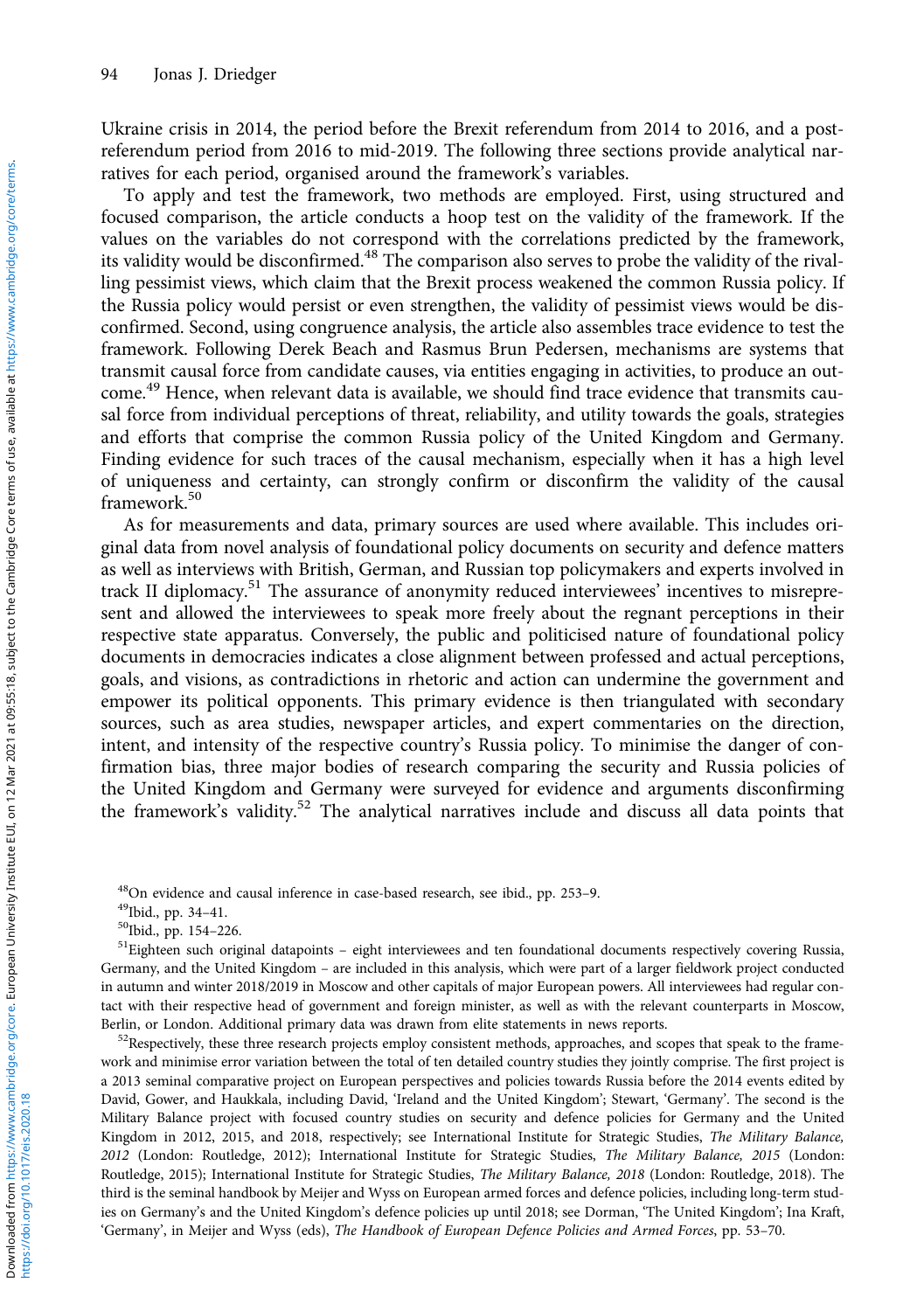Ukraine crisis in 2014, the period before the Brexit referendum from 2014 to 2016, and a postreferendum period from 2016 to mid-2019. The following three sections provide analytical narratives for each period, organised around the framework's variables.

To apply and test the framework, two methods are employed. First, using structured and focused comparison, the article conducts a hoop test on the validity of the framework. If the values on the variables do not correspond with the correlations predicted by the framework, its validity would be disconfirmed.<sup>48</sup> The comparison also serves to probe the validity of the rivalling pessimist views, which claim that the Brexit process weakened the common Russia policy. If the Russia policy would persist or even strengthen, the validity of pessimist views would be disconfirmed. Second, using congruence analysis, the article also assembles trace evidence to test the framework. Following Derek Beach and Rasmus Brun Pedersen, mechanisms are systems that transmit causal force from candidate causes, via entities engaging in activities, to produce an outcome.<sup>49</sup> Hence, when relevant data is available, we should find trace evidence that transmits causal force from individual perceptions of threat, reliability, and utility towards the goals, strategies and efforts that comprise the common Russia policy of the United Kingdom and Germany. Finding evidence for such traces of the causal mechanism, especially when it has a high level of uniqueness and certainty, can strongly confirm or disconfirm the validity of the causal framework.<sup>50</sup>

As for measurements and data, primary sources are used where available. This includes original data from novel analysis of foundational policy documents on security and defence matters as well as interviews with British, German, and Russian top policymakers and experts involved in track II diplomacy.<sup>51</sup> The assurance of anonymity reduced interviewees' incentives to misrepresent and allowed the interviewees to speak more freely about the regnant perceptions in their respective state apparatus. Conversely, the public and politicised nature of foundational policy documents in democracies indicates a close alignment between professed and actual perceptions, goals, and visions, as contradictions in rhetoric and action can undermine the government and empower its political opponents. This primary evidence is then triangulated with secondary sources, such as area studies, newspaper articles, and expert commentaries on the direction, intent, and intensity of the respective country's Russia policy. To minimise the danger of confirmation bias, three major bodies of research comparing the security and Russia policies of the United Kingdom and Germany were surveyed for evidence and arguments disconfirming the framework's validity.<sup>52</sup> The analytical narratives include and discuss all data points that

work and minimise error variation between the total of ten detailed country studies they jointly comprise. The first project is a 2013 seminal comparative project on European perspectives and policies towards Russia before the 2014 events edited by David, Gower, and Haukkala, including David, 'Ireland and the United Kingdom'; Stewart, 'Germany'. The second is the Military Balance project with focused country studies on security and defence policies for Germany and the United Kingdom in 2012, 2015, and 2018, respectively; see International Institute for Strategic Studies, The Military Balance, 2012 (London: Routledge, 2012); International Institute for Strategic Studies, The Military Balance, 2015 (London: Routledge, 2015); International Institute for Strategic Studies, The Military Balance, 2018 (London: Routledge, 2018). The third is the seminal handbook by Meijer and Wyss on European armed forces and defence policies, including long-term studies on Germany's and the United Kingdom's defence policies up until 2018; see Dorman, 'The United Kingdom'; Ina Kraft, 'Germany', in Meijer and Wyss (eds), The Handbook of European Defence Policies and Armed Forces, pp. 53–70.

<sup>&</sup>lt;sup>48</sup>On evidence and causal inference in case-based research, see ibid., pp. 253–9.<br><sup>49</sup>Ibid., pp. 34–41.<br><sup>50</sup>Ibid., pp. 154–226.<br><sup>51</sup>Eighteen such original datapoints – eight interviewees and ten foundational documents re Germany, and the United Kingdom – are included in this analysis, which were part of a larger fieldwork project conducted in autumn and winter 2018/2019 in Moscow and other capitals of major European powers. All interviewees had regular contact with their respective head of government and foreign minister, as well as with the relevant counterparts in Moscow, Berlin, or London. Additional primary data was drawn from elite statements in news reports.<br><sup>52</sup>Respectively, these three research projects employ consistent methods, approaches, and scopes that speak to the frame-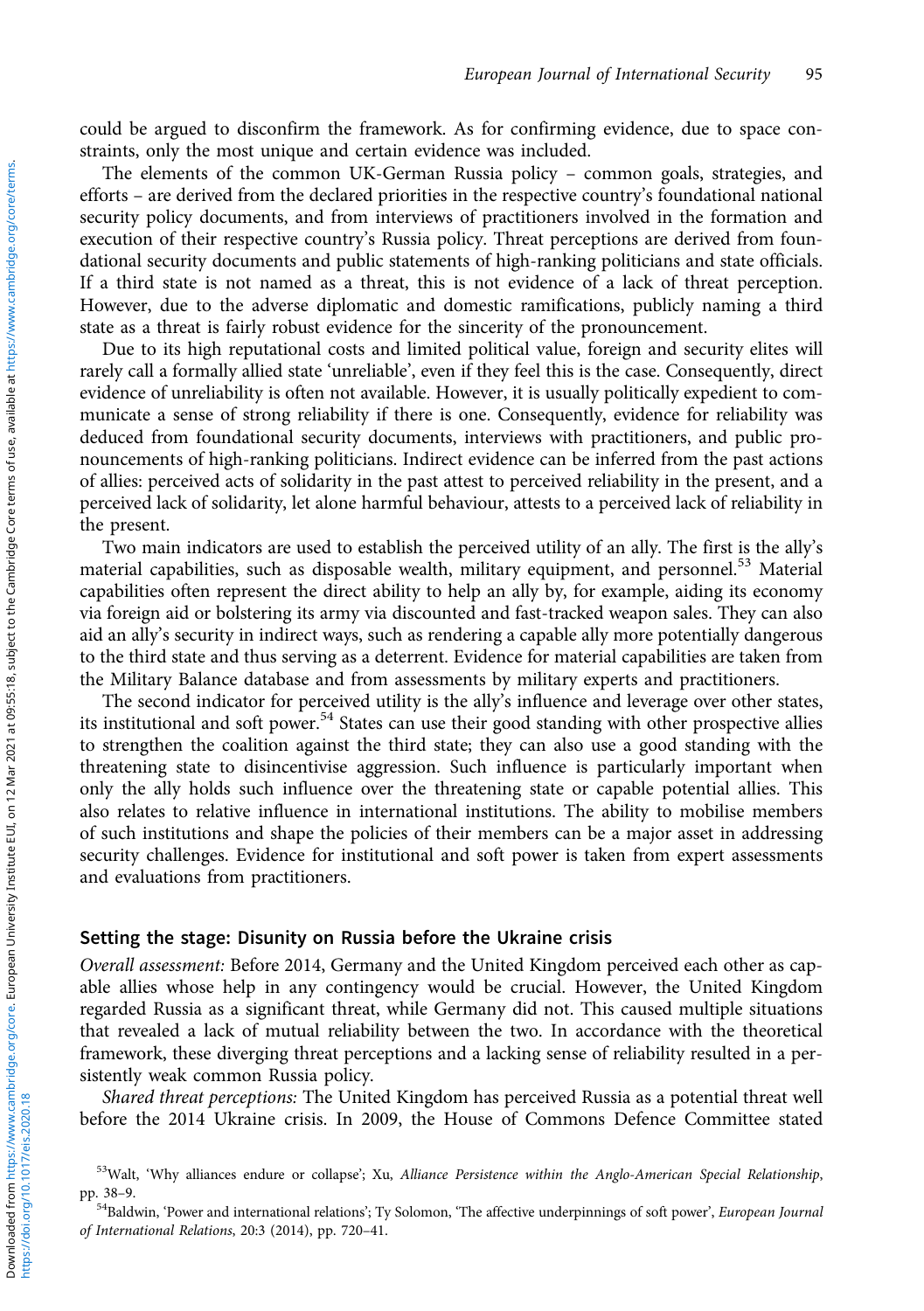could be argued to disconfirm the framework. As for confirming evidence, due to space constraints, only the most unique and certain evidence was included.

The elements of the common UK-German Russia policy – common goals, strategies, and efforts – are derived from the declared priorities in the respective country's foundational national security policy documents, and from interviews of practitioners involved in the formation and execution of their respective country's Russia policy. Threat perceptions are derived from foundational security documents and public statements of high-ranking politicians and state officials. If a third state is not named as a threat, this is not evidence of a lack of threat perception. However, due to the adverse diplomatic and domestic ramifications, publicly naming a third state as a threat is fairly robust evidence for the sincerity of the pronouncement.

Due to its high reputational costs and limited political value, foreign and security elites will rarely call a formally allied state 'unreliable', even if they feel this is the case. Consequently, direct evidence of unreliability is often not available. However, it is usually politically expedient to communicate a sense of strong reliability if there is one. Consequently, evidence for reliability was deduced from foundational security documents, interviews with practitioners, and public pronouncements of high-ranking politicians. Indirect evidence can be inferred from the past actions of allies: perceived acts of solidarity in the past attest to perceived reliability in the present, and a perceived lack of solidarity, let alone harmful behaviour, attests to a perceived lack of reliability in the present.

Two main indicators are used to establish the perceived utility of an ally. The first is the ally's material capabilities, such as disposable wealth, military equipment, and personnel.<sup>53</sup> Material capabilities often represent the direct ability to help an ally by, for example, aiding its economy via foreign aid or bolstering its army via discounted and fast-tracked weapon sales. They can also aid an ally's security in indirect ways, such as rendering a capable ally more potentially dangerous to the third state and thus serving as a deterrent. Evidence for material capabilities are taken from the Military Balance database and from assessments by military experts and practitioners.

The second indicator for perceived utility is the ally's influence and leverage over other states, its institutional and soft power.<sup>54</sup> States can use their good standing with other prospective allies to strengthen the coalition against the third state; they can also use a good standing with the threatening state to disincentivise aggression. Such influence is particularly important when only the ally holds such influence over the threatening state or capable potential allies. This also relates to relative influence in international institutions. The ability to mobilise members of such institutions and shape the policies of their members can be a major asset in addressing security challenges. Evidence for institutional and soft power is taken from expert assessments and evaluations from practitioners.

## Setting the stage: Disunity on Russia before the Ukraine crisis

Overall assessment: Before 2014, Germany and the United Kingdom perceived each other as capable allies whose help in any contingency would be crucial. However, the United Kingdom regarded Russia as a significant threat, while Germany did not. This caused multiple situations that revealed a lack of mutual reliability between the two. In accordance with the theoretical framework, these diverging threat perceptions and a lacking sense of reliability resulted in a persistently weak common Russia policy.

Shared threat perceptions: The United Kingdom has perceived Russia as a potential threat well before the 2014 Ukraine crisis. In 2009, the House of Commons Defence Committee stated

<sup>53</sup>Walt, 'Why alliances endure or collapse'; Xu, Alliance Persistence within the Anglo-American Special Relationship, pp. 38–9.<br><sup>54</sup>Baldwin, 'Power and international relations'; Ty Solomon, 'The affective underpinnings of soft power', European Journal

of International Relations, 20:3 (2014), pp. 720–41.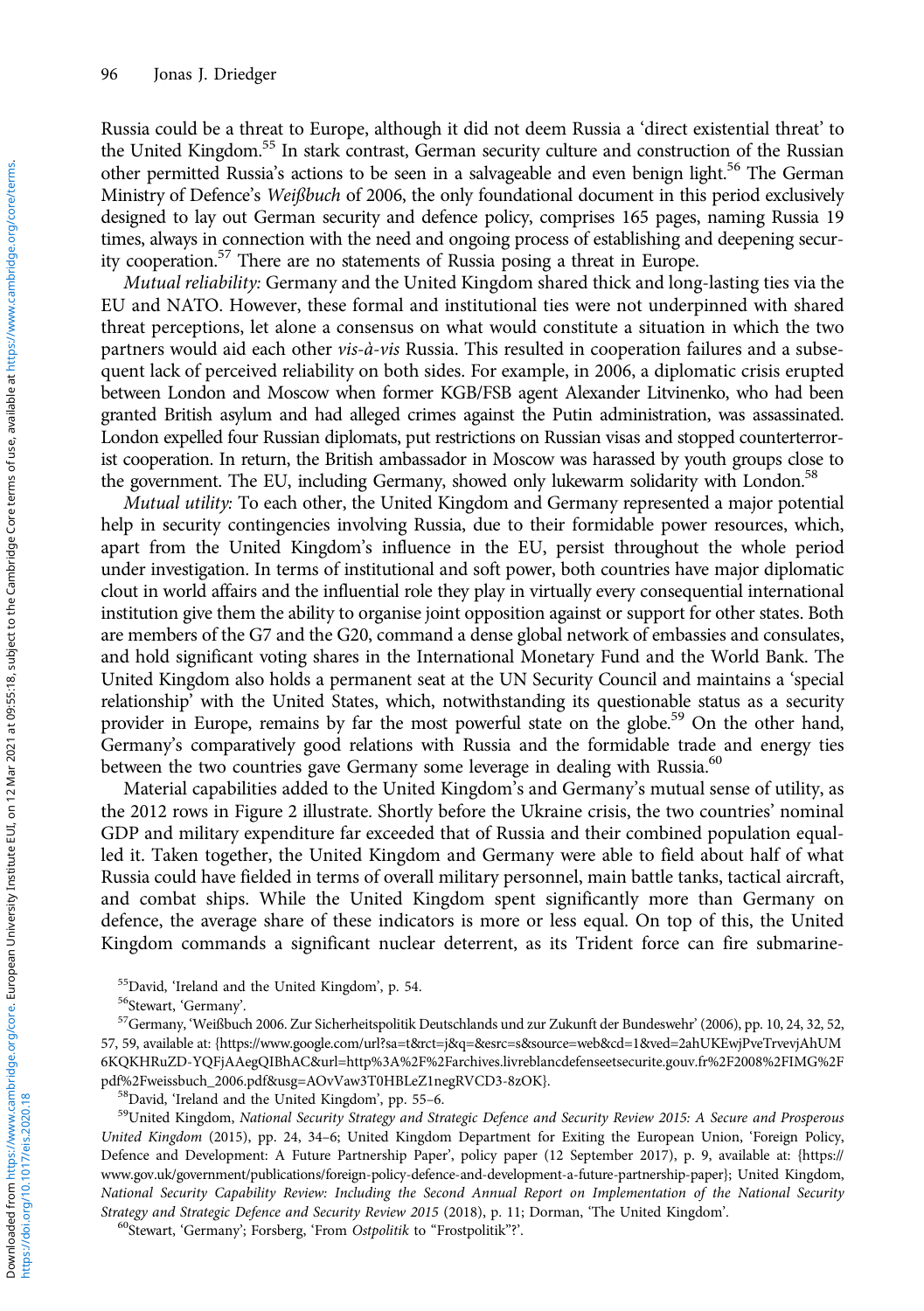Russia could be a threat to Europe, although it did not deem Russia a 'direct existential threat' to the United Kingdom.<sup>55</sup> In stark contrast, German security culture and construction of the Russian other permitted Russia's actions to be seen in a salvageable and even benign light.<sup>56</sup> The German Ministry of Defence's Weißbuch of 2006, the only foundational document in this period exclusively designed to lay out German security and defence policy, comprises 165 pages, naming Russia 19 times, always in connection with the need and ongoing process of establishing and deepening security cooperation.<sup>57</sup> There are no statements of Russia posing a threat in Europe.

Mutual reliability: Germany and the United Kingdom shared thick and long-lasting ties via the EU and NATO. However, these formal and institutional ties were not underpinned with shared threat perceptions, let alone a consensus on what would constitute a situation in which the two partners would aid each other *vis-à-vis* Russia. This resulted in cooperation failures and a subsequent lack of perceived reliability on both sides. For example, in 2006, a diplomatic crisis erupted between London and Moscow when former KGB/FSB agent Alexander Litvinenko, who had been granted British asylum and had alleged crimes against the Putin administration, was assassinated. London expelled four Russian diplomats, put restrictions on Russian visas and stopped counterterrorist cooperation. In return, the British ambassador in Moscow was harassed by youth groups close to the government. The EU, including Germany, showed only lukewarm solidarity with London.<sup>58</sup>

Mutual utility: To each other, the United Kingdom and Germany represented a major potential help in security contingencies involving Russia, due to their formidable power resources, which, apart from the United Kingdom's influence in the EU, persist throughout the whole period under investigation. In terms of institutional and soft power, both countries have major diplomatic clout in world affairs and the influential role they play in virtually every consequential international institution give them the ability to organise joint opposition against or support for other states. Both are members of the G7 and the G20, command a dense global network of embassies and consulates, and hold significant voting shares in the International Monetary Fund and the World Bank. The United Kingdom also holds a permanent seat at the UN Security Council and maintains a 'special relationship' with the United States, which, notwithstanding its questionable status as a security provider in Europe, remains by far the most powerful state on the globe.<sup>59</sup> On the other hand, Germany's comparatively good relations with Russia and the formidable trade and energy ties between the two countries gave Germany some leverage in dealing with Russia.<sup>60</sup>

Material capabilities added to the United Kingdom's and Germany's mutual sense of utility, as the 2012 rows in [Figure 2](#page-11-0) illustrate. Shortly before the Ukraine crisis, the two countries' nominal GDP and military expenditure far exceeded that of Russia and their combined population equalled it. Taken together, the United Kingdom and Germany were able to field about half of what Russia could have fielded in terms of overall military personnel, main battle tanks, tactical aircraft, and combat ships. While the United Kingdom spent significantly more than Germany on defence, the average share of these indicators is more or less equal. On top of this, the United Kingdom commands a significant nuclear deterrent, as its Trident force can fire submarine-

<sup>55</sup>David, 'Ireland and the United Kingdom', p. 54.<br><sup>56</sup>Stewart, 'Germany'.<br><sup>57</sup>Germany, 'Weißbuch 2006. Zur Sicherheitspolitik Deutschlands und zur Zukunft der Bundeswehr' (2006), pp. 10, 24, 32, 52, 57, 59, available at: [{https://www.google.com/url?sa=t&rct=j&q=&esrc=s&source=web&cd=1&ved=2ahUKEwjPveTrvevjAhUM](https://www.google.com/url?sa=t&rct=j&q=&esrc=s&source=web&cd=1&ved=2ahUKEwjPveTrvevjAhUM6KQKHRuZD-YQFjAAegQIBhAC&url=http%3A%2F%2Farchives.livreblancdefenseetsecurite.gouv.fr%2F2008%2FIMG%2Fpdf%2Fweissbuch_2006.pdf&usg=AOvVaw3T0HBLeZ1negRVCD3-8zOK) [6KQKHRuZD-YQFjAAegQIBhAC&url=http%3A%2F%2Farchives.livreblancdefenseetsecurite.gouv.fr%2F2008%2FIMG%2F](https://www.google.com/url?sa=t&rct=j&q=&esrc=s&source=web&cd=1&ved=2ahUKEwjPveTrvevjAhUM6KQKHRuZD-YQFjAAegQIBhAC&url=http%3A%2F%2Farchives.livreblancdefenseetsecurite.gouv.fr%2F2008%2FIMG%2Fpdf%2Fweissbuch_2006.pdf&usg=AOvVaw3T0HBLeZ1negRVCD3-8zOK) [pdf%2Fweissbuch\\_2006.pdf&usg=AOvVaw3T0HBLeZ1negRVCD3-8zOK](https://www.google.com/url?sa=t&rct=j&q=&esrc=s&source=web&cd=1&ved=2ahUKEwjPveTrvevjAhUM6KQKHRuZD-YQFjAAegQIBhAC&url=http%3A%2F%2Farchives.livreblancdefenseetsecurite.gouv.fr%2F2008%2FIMG%2Fpdf%2Fweissbuch_2006.pdf&usg=AOvVaw3T0HBLeZ1negRVCD3-8zOK)}.<br><sup>58</sup>David, 'Ireland and the United Kingdom', pp. 55–6.<br><sup>59</sup>United Kingdom, *National Security Strategy and Strategic Defence and Security Review 2015: A Secure an* 

United Kingdom (2015), pp. 24, 34–6; United Kingdom Department for Exiting the European Union, 'Foreign Policy, Defence and Development: A Future Partnership Paper', policy paper (12 September 2017), p. 9, available at: [{https://](https://www.gov.uk/government/publications/foreign-policy-defence-and-development-a-future-partnership-paper) [www.gov.uk/government/publications/foreign-policy-defence-and-development-a-future-partnership-paper](https://www.gov.uk/government/publications/foreign-policy-defence-and-development-a-future-partnership-paper)}; United Kingdom, National Security Capability Review: Including the Second Annual Report on Implementation of the National Security Strategy and Strategic Defence and Security Review 2015 (2018), p. 11; Dorman, 'The United Kingdom'.<br><sup>60</sup>Stewart, 'Germany'; Forsberg, 'From Ostpolitik to "Frostpolitik"?'.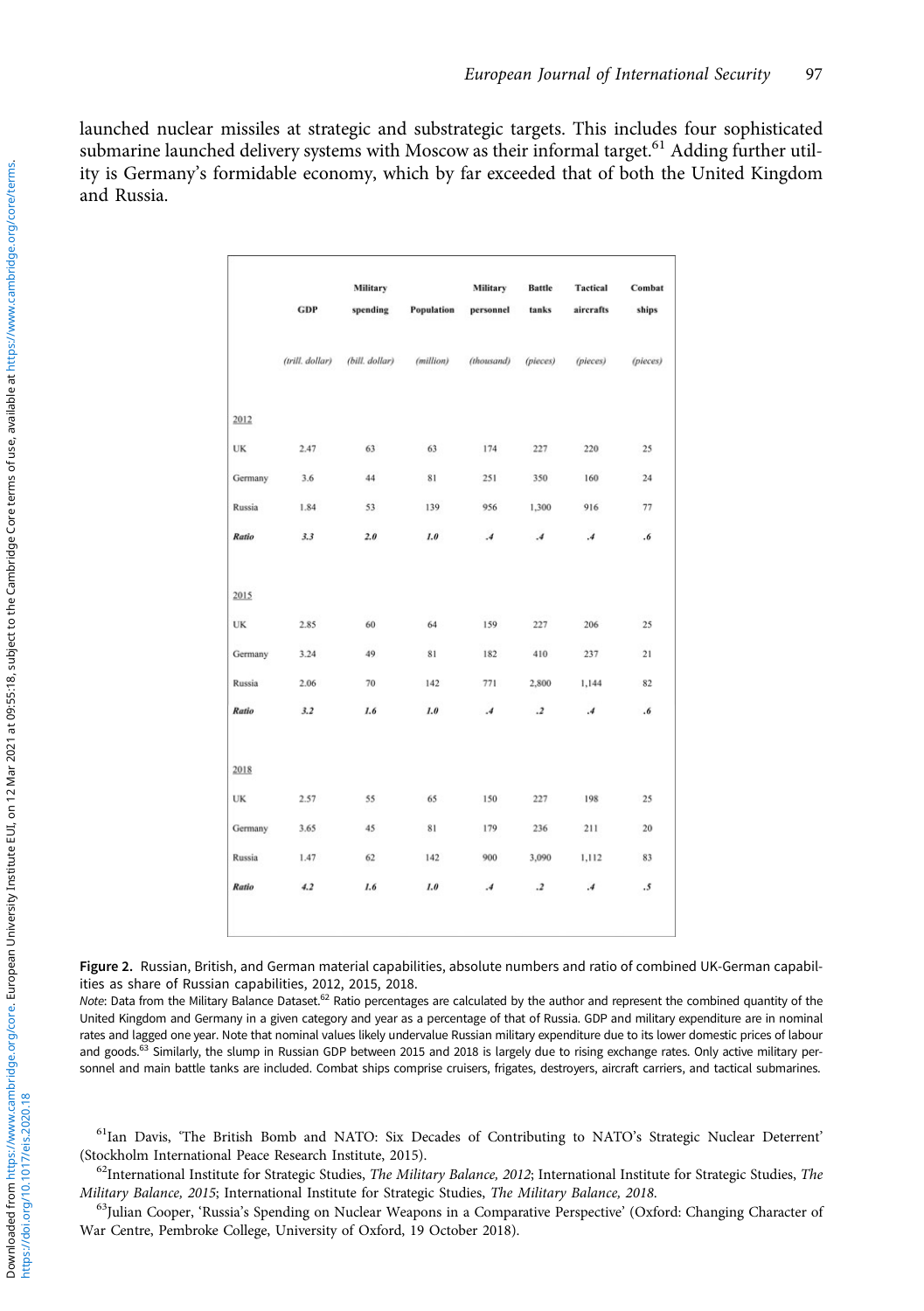<span id="page-11-0"></span>launched nuclear missiles at strategic and substrategic targets. This includes four sophisticated submarine launched delivery systems with Moscow as their informal target.<sup>61</sup> Adding further utility is Germany's formidable economy, which by far exceeded that of both the United Kingdom and Russia.

|              | Military        |                |            | Military   | <b>Battle</b>        | <b>Tactical</b> | Combat   |
|--------------|-----------------|----------------|------------|------------|----------------------|-----------------|----------|
|              | <b>GDP</b>      | spending       | Population | personnel  | tanks                | aircrafts       | ships    |
|              | (trill. dollar) | (bill. dollar) | (million)  | (thousand) | (pieces)             | (pieces)        | (pieces) |
| 2012         |                 |                |            |            |                      |                 |          |
| UK           | 2.47            | 63             | 63         | 174        | 227                  | 220             | 25       |
| Germany      | 3.6             | 44             | 81         | 251        | 350                  | 160             | 24       |
| Russia       | 1.84            | 53             | 139        | 956        | 1,300                | 916             | 77       |
| Ratio        | 3.3             | 2.0            | 1.0        | .4         | $\cdot$              | $\cdot$         | .6       |
| 2015         |                 |                |            |            |                      |                 |          |
| UK           | 2.85            | 60             | 64         | 159        | 227                  | 206             | 25       |
| Germany      | 3.24            | 49             | 81         | 182        | 410                  | 237             | 21       |
| Russia       | 2.06            | 70             | 142        | 771        | 2,800                | 1,144           | 82       |
| Ratio        | 3.2             | 1.6            | 1.0        | $\cdot$    | $\cdot$ <sub>2</sub> | $\cdot$         | .6       |
| 2018         |                 |                |            |            |                      |                 |          |
| UK           | 2.57            | 55             | 65         | 150        | 227                  | 198             | 25       |
| Germany      | 3.65            | 45             | 81         | 179        | 236                  | 211             | 20       |
| Russia       | 1.47            | 62             | 142        | 900        | 3,090                | 1,112           | 83       |
| <b>Ratio</b> | 4.2             | 1.6            | I.0        | $\cdot$    | $\cdot$ <sub>2</sub> | $\cdot$         | .5       |

Figure 2. Russian, British, and German material capabilities, absolute numbers and ratio of combined UK-German capabilities as share of Russian capabilities, 2012, 2015, 2018.

Note: Data from the Military Balance Dataset.<sup>62</sup> Ratio percentages are calculated by the author and represent the combined quantity of the United Kingdom and Germany in a given category and year as a percentage of that of Russia. GDP and military expenditure are in nominal rates and lagged one year. Note that nominal values likely undervalue Russian military expenditure due to its lower domestic prices of labour and goods.<sup>63</sup> Similarly, the slump in Russian GDP between 2015 and 2018 is largely due to rising exchange rates. Only active military personnel and main battle tanks are included. Combat ships comprise cruisers, frigates, destroyers, aircraft carriers, and tactical submarines.

<sup>61</sup>Ian Davis, 'The British Bomb and NATO: Six Decades of Contributing to NATO's Strategic Nuclear Deterrent' (Stockholm International Peace Research Institute, 2015).<br><sup>62</sup>International Institute for Strategic Studies, *The Military Balance, 2012*; International Institute for Strategic Studies, *The* 

Military Balance, 2015; International Institute for Strategic Studies, The Military Balance, 2018.<br><sup>63</sup>Julian Cooper, 'Russia's Spending on Nuclear Weapons in a Comparative Perspective' (Oxford: Changing Character of

War Centre, Pembroke College, University of Oxford, 19 October 2018).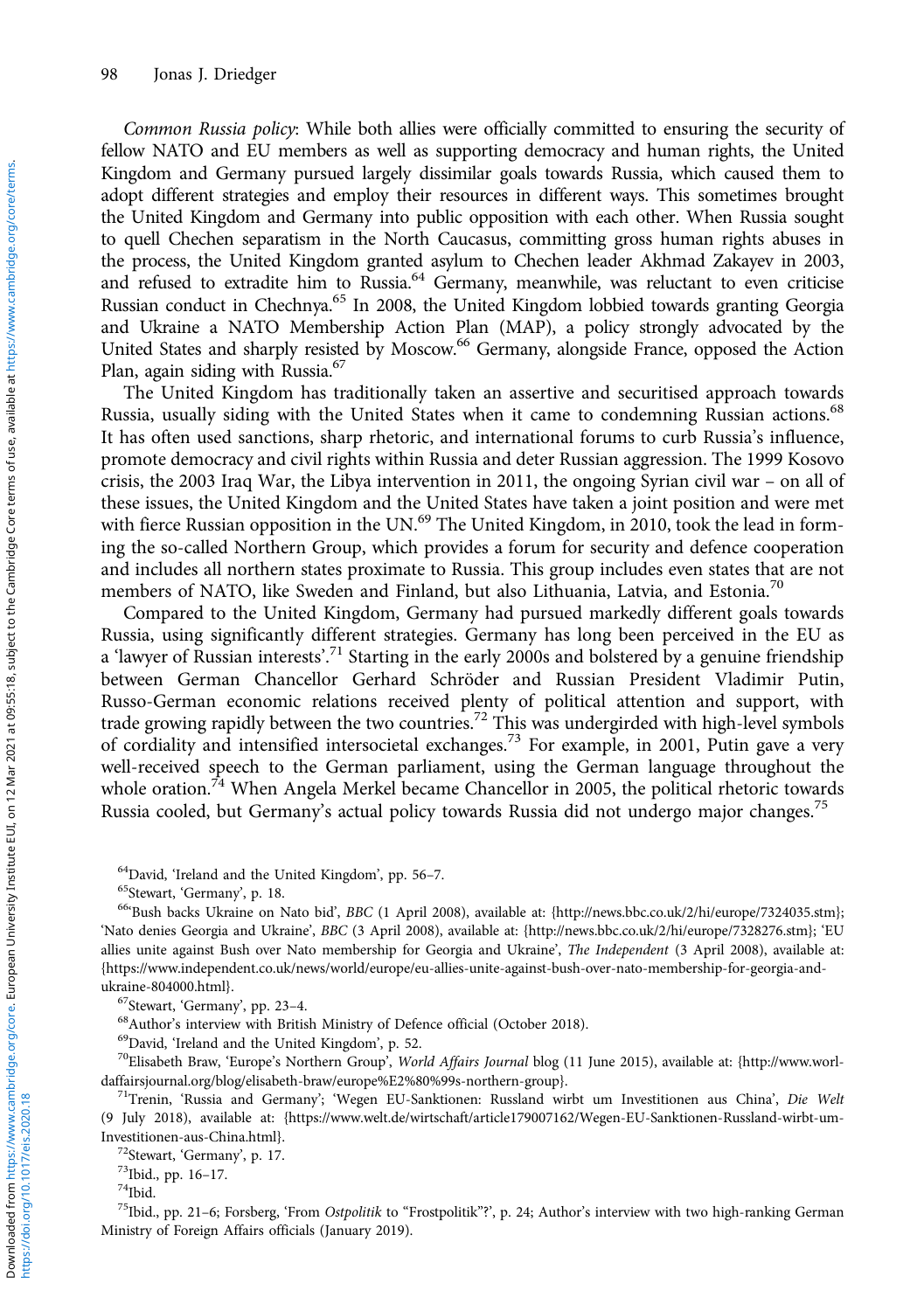Common Russia policy: While both allies were officially committed to ensuring the security of fellow NATO and EU members as well as supporting democracy and human rights, the United Kingdom and Germany pursued largely dissimilar goals towards Russia, which caused them to adopt different strategies and employ their resources in different ways. This sometimes brought the United Kingdom and Germany into public opposition with each other. When Russia sought to quell Chechen separatism in the North Caucasus, committing gross human rights abuses in the process, the United Kingdom granted asylum to Chechen leader Akhmad Zakayev in 2003, and refused to extradite him to Russia.<sup>64</sup> Germany, meanwhile, was reluctant to even criticise Russian conduct in Chechnya.65 In 2008, the United Kingdom lobbied towards granting Georgia and Ukraine a NATO Membership Action Plan (MAP), a policy strongly advocated by the United States and sharply resisted by Moscow.<sup>66</sup> Germany, alongside France, opposed the Action Plan, again siding with Russia.<sup>67</sup>

The United Kingdom has traditionally taken an assertive and securitised approach towards Russia, usually siding with the United States when it came to condemning Russian actions.<sup>68</sup> It has often used sanctions, sharp rhetoric, and international forums to curb Russia's influence, promote democracy and civil rights within Russia and deter Russian aggression. The 1999 Kosovo crisis, the 2003 Iraq War, the Libya intervention in 2011, the ongoing Syrian civil war – on all of these issues, the United Kingdom and the United States have taken a joint position and were met with fierce Russian opposition in the UN.<sup>69</sup> The United Kingdom, in 2010, took the lead in forming the so-called Northern Group, which provides a forum for security and defence cooperation and includes all northern states proximate to Russia. This group includes even states that are not members of NATO, like Sweden and Finland, but also Lithuania, Latvia, and Estonia.<sup>70</sup>

Compared to the United Kingdom, Germany had pursued markedly different goals towards Russia, using significantly different strategies. Germany has long been perceived in the EU as a 'lawyer of Russian interests'.<sup>71</sup> Starting in the early 2000s and bolstered by a genuine friendship between German Chancellor Gerhard Schröder and Russian President Vladimir Putin, Russo-German economic relations received plenty of political attention and support, with trade growing rapidly between the two countries.<sup>72</sup> This was undergirded with high-level symbols of cordiality and intensified intersocietal exchanges.<sup>73</sup> For example, in 2001, Putin gave a very well-received speech to the German parliament, using the German language throughout the whole oration.<sup>74</sup> When Angela Merkel became Chancellor in 2005, the political rhetoric towards Russia cooled, but Germany's actual policy towards Russia did not undergo major changes.<sup>75</sup>

<sup>64</sup>David, 'Ireland and the United Kingdom', pp. 56–7.<br><sup>65</sup>Stewart, 'Germany', p. 18.<br><sup>66</sup>'Bush backs Ukraine on Nato bid', *BBC* (1 April 2008), available at: {<http://news.bbc.co.uk/2/hi/europe/7324035.stm>}; 'Nato denies Georgia and Ukraine', BBC (3 April 2008), available at: [{http://news.bbc.co.uk/2/hi/europe/7328276.stm](http://news.bbc.co.uk/2/hi/europe/7328276.stm)}; 'EU allies unite against Bush over Nato membership for Georgia and Ukraine', The Independent (3 April 2008), available at: {[https://www.independent.co.uk/news/world/europe/eu-allies-unite-against-bush-over-nato-membership-for-georgia-and-](https://www.independent.co.uk/news/world/europe/eu-allies-unite-against-bush-over-nato-membership-for-georgia-and-ukraine-804000.html)

[ukraine-804000.html](https://www.independent.co.uk/news/world/europe/eu-allies-unite-against-bush-over-nato-membership-for-georgia-and-ukraine-804000.html)}.<br><sup>67</sup>Stewart, 'Germany', pp. 23–4.<br><sup>68</sup>Author's interview with British Ministry of Defence official (October 2018).<br><sup>69</sup>David, 'Ireland and the United Kingdom', p. 52.<br><sup>70</sup>Elisabeth Braw, 'Europe's Nor [daffairsjournal.org/blog/elisabeth-braw/europe%E2%80%99s-northern-group}](http://www.worldaffairsjournal.org/blog/elisabeth-braw/europe%E2%80%99s-northern-group).  $^{71}$ Trenin, 'Russia and Germany'; 'Wegen EU-Sanktionen: Russland wirbt um Investitionen aus China', Die Welt

(9 July 2018), available at: [{https://www.welt.de/wirtschaft/article179007162/Wegen-EU-Sanktionen-Russland-wirbt-um-](https://www.welt.de/wirtschaft/article179007162/Wegen-EU-Sanktionen-Russland-wirbt-um-Investitionen-aus-China.html)[Investitionen-aus-China.html}](https://www.welt.de/wirtschaft/article179007162/Wegen-EU-Sanktionen-Russland-wirbt-um-Investitionen-aus-China.html).<br><sup>72</sup>Stewart, 'Germany', p. 17.<br><sup>73</sup>Ibid., pp. 16–17.<br><sup>74</sup>Ibid.

https://doi.org/10.1017/eis.2020.18

 $^{75}$ Ibid., pp. 21-6; Forsberg, 'From Ostpolitik to "Frostpolitik"?', p. 24; Author's interview with two high-ranking German Ministry of Foreign Affairs officials (January 2019).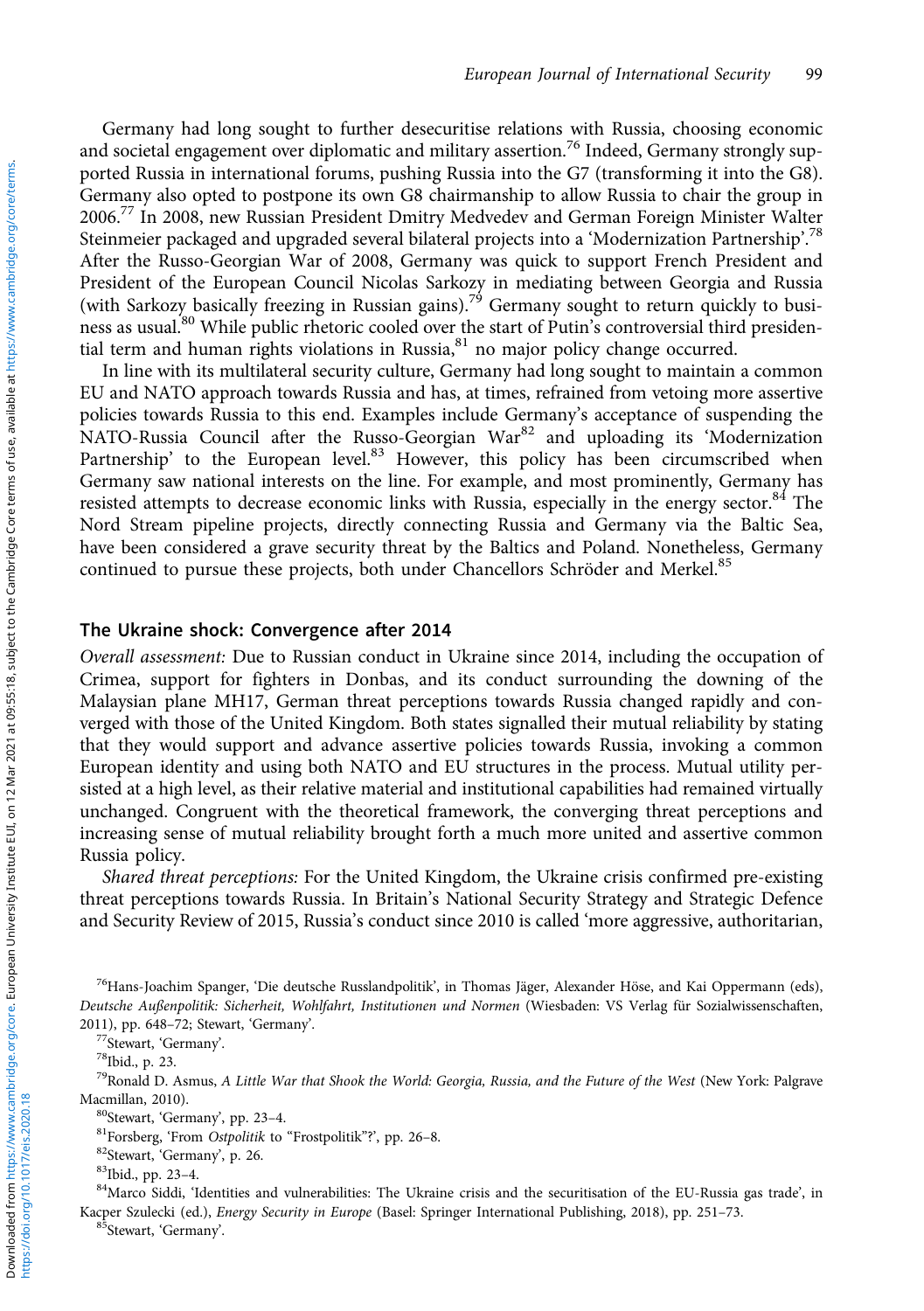Germany had long sought to further desecuritise relations with Russia, choosing economic and societal engagement over diplomatic and military assertion.<sup>76</sup> Indeed, Germany strongly supported Russia in international forums, pushing Russia into the G7 (transforming it into the G8). Germany also opted to postpone its own G8 chairmanship to allow Russia to chair the group in 2006.<sup>77</sup> In 2008, new Russian President Dmitry Medvedev and German Foreign Minister Walter Steinmeier packaged and upgraded several bilateral projects into a 'Modernization Partnership'.<sup>78</sup> After the Russo-Georgian War of 2008, Germany was quick to support French President and President of the European Council Nicolas Sarkozy in mediating between Georgia and Russia (with Sarkozy basically freezing in Russian gains).<sup>79</sup> Germany sought to return quickly to business as usual.<sup>80</sup> While public rhetoric cooled over the start of Putin's controversial third presidential term and human rights violations in Russia, $81$  no major policy change occurred.

In line with its multilateral security culture, Germany had long sought to maintain a common EU and NATO approach towards Russia and has, at times, refrained from vetoing more assertive policies towards Russia to this end. Examples include Germany's acceptance of suspending the NATO-Russia Council after the Russo-Georgian War<sup>82</sup> and uploading its 'Modernization Partnership' to the European level.<sup>83</sup> However, this policy has been circumscribed when Germany saw national interests on the line. For example, and most prominently, Germany has resisted attempts to decrease economic links with Russia, especially in the energy sector.<sup>84</sup> The Nord Stream pipeline projects, directly connecting Russia and Germany via the Baltic Sea, have been considered a grave security threat by the Baltics and Poland. Nonetheless, Germany continued to pursue these projects, both under Chancellors Schröder and Merkel.<sup>85</sup>

#### The Ukraine shock: Convergence after 2014

Overall assessment: Due to Russian conduct in Ukraine since 2014, including the occupation of Crimea, support for fighters in Donbas, and its conduct surrounding the downing of the Malaysian plane MH17, German threat perceptions towards Russia changed rapidly and converged with those of the United Kingdom. Both states signalled their mutual reliability by stating that they would support and advance assertive policies towards Russia, invoking a common European identity and using both NATO and EU structures in the process. Mutual utility persisted at a high level, as their relative material and institutional capabilities had remained virtually unchanged. Congruent with the theoretical framework, the converging threat perceptions and increasing sense of mutual reliability brought forth a much more united and assertive common Russia policy.

Shared threat perceptions: For the United Kingdom, the Ukraine crisis confirmed pre-existing threat perceptions towards Russia. In Britain's National Security Strategy and Strategic Defence and Security Review of 2015, Russia's conduct since 2010 is called 'more aggressive, authoritarian,

Kacper Szulecki (ed.), *Energy Security in Europe* (Basel: Springer International Publishing, 2018), pp. 251–73. <sup>85</sup>Stewart, 'Germany'.

<sup>&</sup>lt;sup>76</sup>Hans-Joachim Spanger, 'Die deutsche Russlandpolitik', in Thomas Jäger, Alexander Höse, and Kai Oppermann (eds), Deutsche Außenpolitik: Sicherheit, Wohlfahrt, Institutionen und Normen (Wiesbaden: VS Verlag für Sozialwissenschaften, 2011), pp. 648–72; Stewart, 'Germany'.<br>
<sup>77</sup>Stewart, 'Germany'.<br>
<sup>78</sup>Ibid., p. 23.

 $^{79}$ Ronald D. Asmus, A Little War that Shook the World: Georgia, Russia, and the Future of the West (New York: Palgrave Macmillan, 2010).<br><sup>80</sup>Stewart, 'Germany', pp. 23–4.<br><sup>81</sup>Forsberg, 'From *Ostpolitik* to "Frostpolitik"?', pp. 26–8.<br><sup>82</sup>Stewart, 'Germany', p. 26.<br><sup>83</sup>Ibid., pp. 23–4.<br><sup>84</sup>Marco Siddi, 'Identities and vulnerabilities: The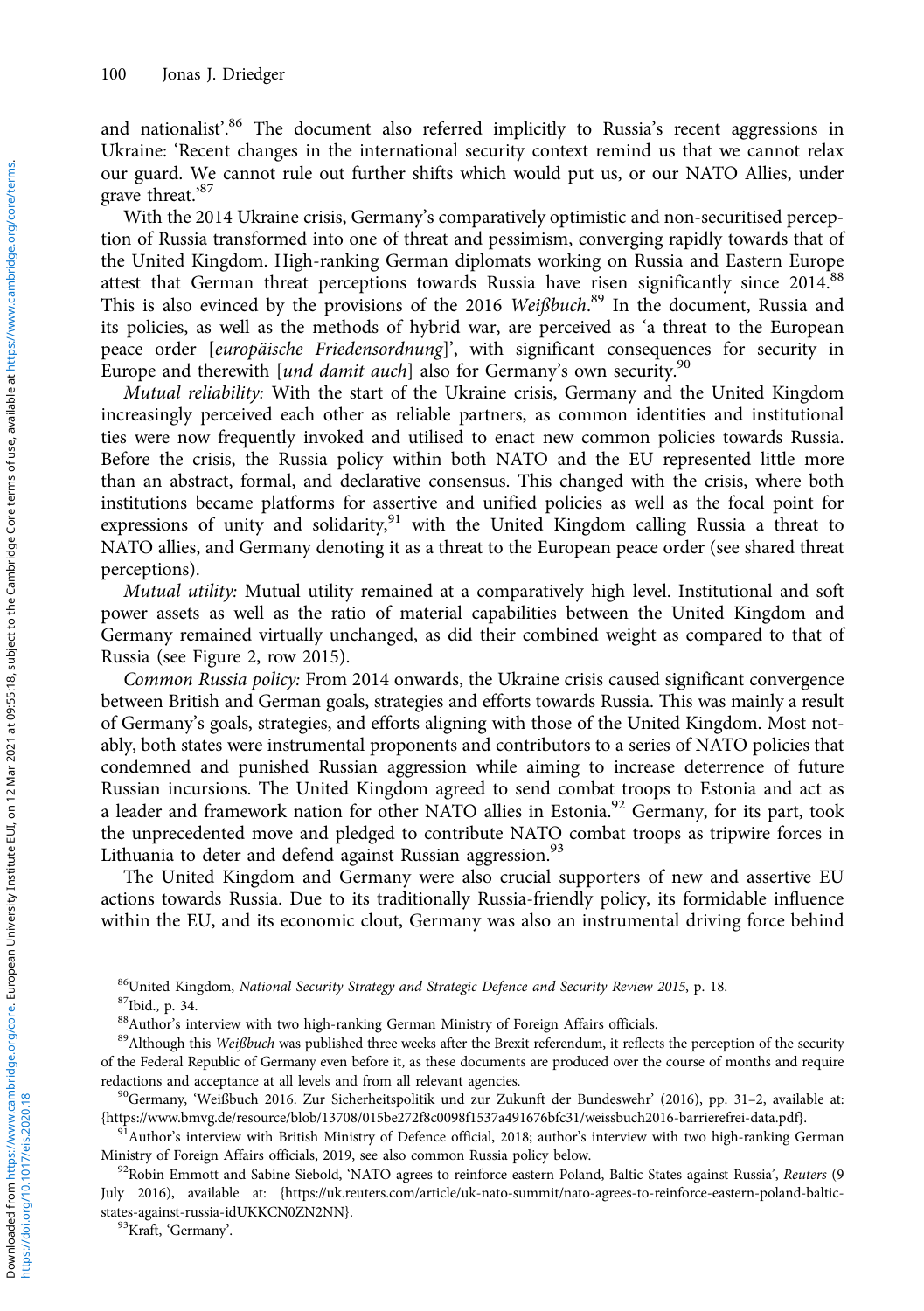and nationalist'.<sup>86</sup> The document also referred implicitly to Russia's recent aggressions in Ukraine: 'Recent changes in the international security context remind us that we cannot relax our guard. We cannot rule out further shifts which would put us, or our NATO Allies, under grave threat.' 87

With the 2014 Ukraine crisis, Germany's comparatively optimistic and non-securitised perception of Russia transformed into one of threat and pessimism, converging rapidly towards that of the United Kingdom. High-ranking German diplomats working on Russia and Eastern Europe attest that German threat perceptions towards Russia have risen significantly since 2014.<sup>88</sup> This is also evinced by the provisions of the 2016 Weißbuch.<sup>89</sup> In the document, Russia and its policies, as well as the methods of hybrid war, are perceived as 'a threat to the European peace order [europäische Friedensordnung]', with significant consequences for security in Europe and therewith [*und damit auch*] also for Germany's own security.<sup>90</sup>

Mutual reliability: With the start of the Ukraine crisis, Germany and the United Kingdom increasingly perceived each other as reliable partners, as common identities and institutional ties were now frequently invoked and utilised to enact new common policies towards Russia. Before the crisis, the Russia policy within both NATO and the EU represented little more than an abstract, formal, and declarative consensus. This changed with the crisis, where both institutions became platforms for assertive and unified policies as well as the focal point for expressions of unity and solidarity,  $91$  with the United Kingdom calling Russia a threat to NATO allies, and Germany denoting it as a threat to the European peace order (see shared threat perceptions).

Mutual utility: Mutual utility remained at a comparatively high level. Institutional and soft power assets as well as the ratio of material capabilities between the United Kingdom and Germany remained virtually unchanged, as did their combined weight as compared to that of Russia (see [Figure 2,](#page-11-0) row 2015).

Common Russia policy: From 2014 onwards, the Ukraine crisis caused significant convergence between British and German goals, strategies and efforts towards Russia. This was mainly a result of Germany's goals, strategies, and efforts aligning with those of the United Kingdom. Most notably, both states were instrumental proponents and contributors to a series of NATO policies that condemned and punished Russian aggression while aiming to increase deterrence of future Russian incursions. The United Kingdom agreed to send combat troops to Estonia and act as a leader and framework nation for other NATO allies in Estonia.<sup>92</sup> Germany, for its part, took the unprecedented move and pledged to contribute NATO combat troops as tripwire forces in Lithuania to deter and defend against Russian aggression.<sup>93</sup>

The United Kingdom and Germany were also crucial supporters of new and assertive EU actions towards Russia. Due to its traditionally Russia-friendly policy, its formidable influence within the EU, and its economic clout, Germany was also an instrumental driving force behind

Ministry of Foreign Affairs officials, 2019, see also common Russia policy below.<br><sup>92</sup>Robin Emmott and Sabine Siebold, 'NATO agrees to reinforce eastern Poland, Baltic States against Russia', *Reuters* (9

July 2016), available at: [{https://uk.reuters.com/article/uk-nato-summit/nato-agrees-to-reinforce-eastern-poland-baltic](https://uk.reuters.com/article/uk-nato-summit/nato-agrees-to-reinforce-eastern-poland-baltic-states-against-russia-idUKKCN0ZN2NN)[states-against-russia-idUKKCN0ZN2NN}](https://uk.reuters.com/article/uk-nato-summit/nato-agrees-to-reinforce-eastern-poland-baltic-states-against-russia-idUKKCN0ZN2NN). 93Kraft, 'Germany'.

<sup>&</sup>lt;sup>86</sup>United Kingdom, *National Security Strategy and Strategic Defence and Security Review 2015*, p. 18. <sup>87</sup>Ibid., p. 34. Is a sample in the bigh-ranking German Ministry of Foreign Affairs officials.

<sup>&</sup>lt;sup>89</sup>Although this Weißbuch was published three weeks after the Brexit referendum, it reflects the perception of the security of the Federal Republic of Germany even before it, as these documents are produced over the course of months and require

<sup>&</sup>lt;sup>90</sup>Germany, 'Weißbuch 2016. Zur Sicherheitspolitik und zur Zukunft der Bundeswehr' (2016), pp. 31-2, available at: {<https://www.bmvg.de/resource/blob/13708/015be272f8c0098f1537a491676bfc31/weissbuch2016-barrierefrei-data.pdf>}.<br><sup>91</sup>Author's interview with British Ministry of Defence official, 2018; author's interview with two high-ranki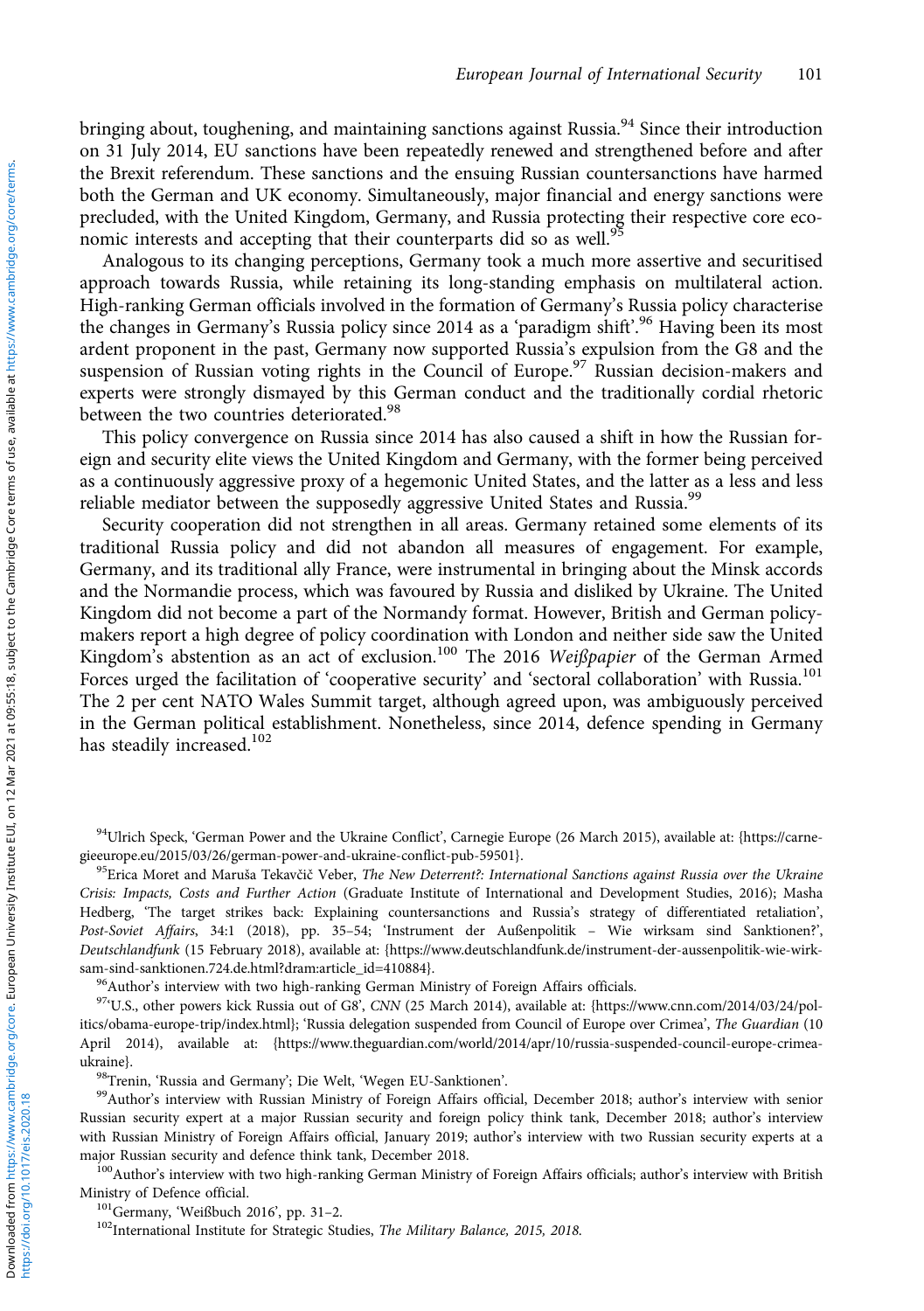bringing about, toughening, and maintaining sanctions against Russia.<sup>94</sup> Since their introduction on 31 July 2014, EU sanctions have been repeatedly renewed and strengthened before and after the Brexit referendum. These sanctions and the ensuing Russian countersanctions have harmed both the German and UK economy. Simultaneously, major financial and energy sanctions were precluded, with the United Kingdom, Germany, and Russia protecting their respective core economic interests and accepting that their counterparts did so as well.<sup>95</sup>

Analogous to its changing perceptions, Germany took a much more assertive and securitised approach towards Russia, while retaining its long-standing emphasis on multilateral action. High-ranking German officials involved in the formation of Germany's Russia policy characterise the changes in Germany's Russia policy since 2014 as a 'paradigm shift'.<sup>96</sup> Having been its most ardent proponent in the past, Germany now supported Russia's expulsion from the G8 and the suspension of Russian voting rights in the Council of Europe.<sup>97</sup> Russian decision-makers and experts were strongly dismayed by this German conduct and the traditionally cordial rhetoric between the two countries deteriorated.<sup>98</sup>

This policy convergence on Russia since 2014 has also caused a shift in how the Russian foreign and security elite views the United Kingdom and Germany, with the former being perceived as a continuously aggressive proxy of a hegemonic United States, and the latter as a less and less reliable mediator between the supposedly aggressive United States and Russia.<sup>99</sup>

Security cooperation did not strengthen in all areas. Germany retained some elements of its traditional Russia policy and did not abandon all measures of engagement. For example, Germany, and its traditional ally France, were instrumental in bringing about the Minsk accords and the Normandie process, which was favoured by Russia and disliked by Ukraine. The United Kingdom did not become a part of the Normandy format. However, British and German policymakers report a high degree of policy coordination with London and neither side saw the United Kingdom's abstention as an act of exclusion.<sup>100</sup> The 2016 Weißpapier of the German Armed Forces urged the facilitation of 'cooperative security' and 'sectoral collaboration' with Russia.<sup>101</sup> The 2 per cent NATO Wales Summit target, although agreed upon, was ambiguously perceived in the German political establishment. Nonetheless, since 2014, defence spending in Germany has steadily increased.<sup>102</sup>

94Ulrich Speck, 'German Power and the Ukraine Conflict', Carnegie Europe (26 March 2015), available at: {[https://carne](https://carnegieeurope.eu/2015/03/26/german-power-and-ukraine-conflict-pub-59501)[gieeurope.eu/2015/03/26/german-power-and-ukraine-conflict-pub-59501](https://carnegieeurope.eu/2015/03/26/german-power-and-ukraine-conflict-pub-59501)}. 95Erica Moret and Maruša Tekavčič Veber, The New Deterrent?: International Sanctions against Russia over the Ukraine

Crisis: Impacts, Costs and Further Action (Graduate Institute of International and Development Studies, 2016); Masha Hedberg, 'The target strikes back: Explaining countersanctions and Russia's strategy of differentiated retaliation', Post-Soviet Affairs, 34:1 (2018), pp. 35–54; 'Instrument der Außenpolitik – Wie wirksam sind Sanktionen?', Deutschlandfunk (15 February 2018), available at: {[https://www.deutschlandfunk.de/instrument-der-aussenpolitik-wie-wirk-](https://www.deutschlandfunk.de/instrument-der-aussenpolitik-wie-wirksam-sind-sanktionen.724.de.html?dram:article_id=410884)

[sam-sind-sanktionen.724.de.html?dram:article\\_id=410884}](https://www.deutschlandfunk.de/instrument-der-aussenpolitik-wie-wirksam-sind-sanktionen.724.de.html?dram:article_id=410884).<br><sup>96</sup>Author's interview with two high-ranking German Ministry of Foreign Affairs officials.<br><sup>97</sup>U.S., other powers kick Russia out of G8', *CNN* (25 March 2014), avai [itics/obama-europe-trip/index.html](https://www.cnn.com/2014/03/24/politics/obama-europe-trip/index.html)}; 'Russia delegation suspended from Council of Europe over Crimea', The Guardian (10 April 2014), available at: [{https://www.theguardian.com/world/2014/apr/10/russia-suspended-council-europe-crimea-](https://www.theguardian.com/world/2014/apr/10/russia-suspended-council-europe-crimea-ukraine)

[ukraine}](https://www.theguardian.com/world/2014/apr/10/russia-suspended-council-europe-crimea-ukraine).<br><sup>98</sup>Trenin, 'Russia and Germany'; Die Welt, 'Wegen EU-Sanktionen'.<br><sup>99</sup>Author's interview with Russian Ministry of Foreign Affairs official, December 2018; author's interview with senior Russian security expert at a major Russian security and foreign policy think tank, December 2018; author's interview with Russian Ministry of Foreign Affairs official, January 2019; author's interview with two Russian security experts at a

major Russian security and defence think tank, December 2018.<br><sup>100</sup>Author's interview with two high-ranking German Ministry of Foreign Affairs officials; author's interview with British Ministry of Defence official.<br><sup>101</sup>Germany, 'Weißbuch 2016', pp. 31–2.<br><sup>102</sup>International Institute for Strategic Studies, *The Military Balance, 2015, 2018*.

https://doi.org/10.1017/eis.2020.18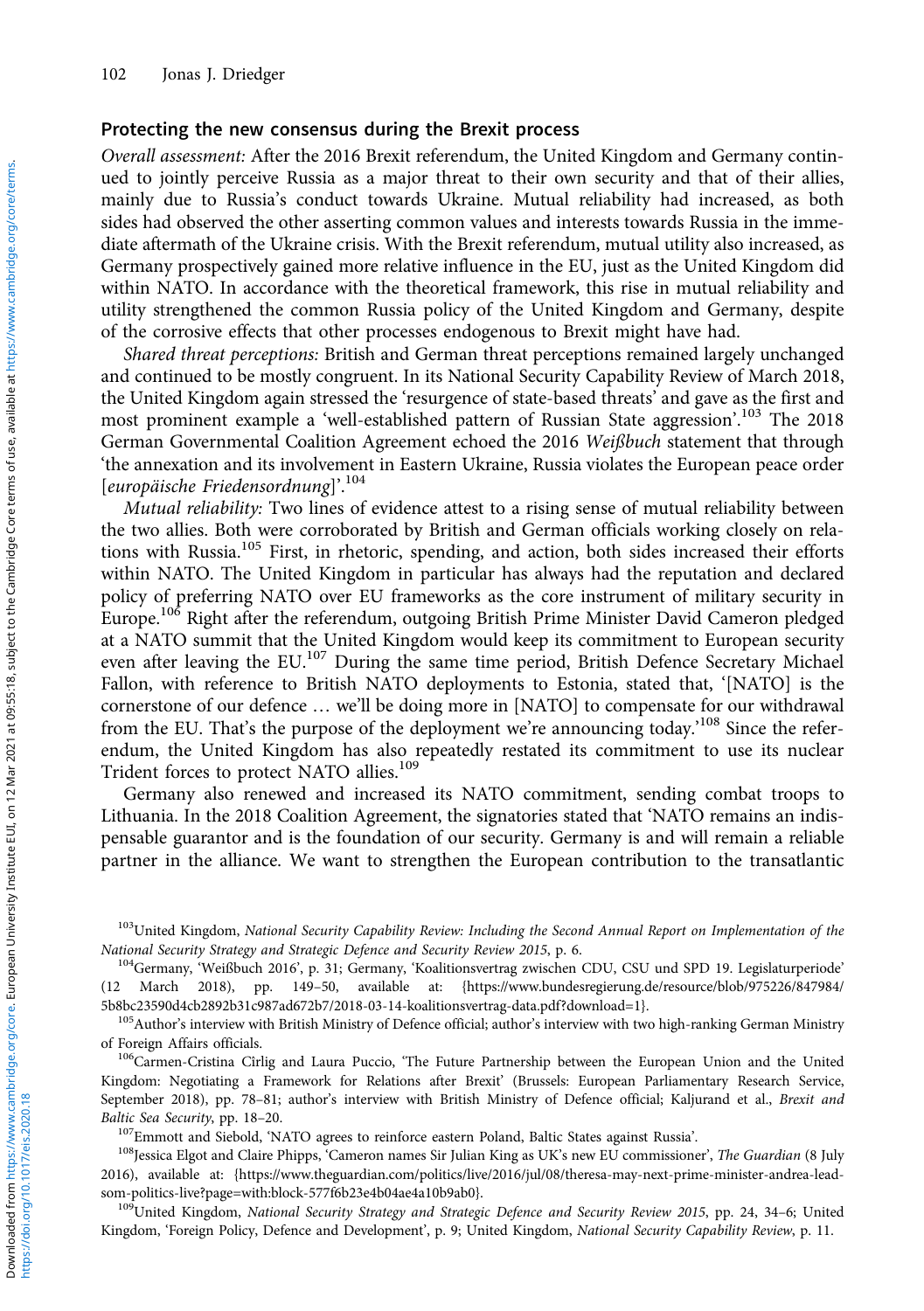## Protecting the new consensus during the Brexit process

Overall assessment: After the 2016 Brexit referendum, the United Kingdom and Germany continued to jointly perceive Russia as a major threat to their own security and that of their allies, mainly due to Russia's conduct towards Ukraine. Mutual reliability had increased, as both sides had observed the other asserting common values and interests towards Russia in the immediate aftermath of the Ukraine crisis. With the Brexit referendum, mutual utility also increased, as Germany prospectively gained more relative influence in the EU, just as the United Kingdom did within NATO. In accordance with the theoretical framework, this rise in mutual reliability and utility strengthened the common Russia policy of the United Kingdom and Germany, despite of the corrosive effects that other processes endogenous to Brexit might have had.

Shared threat perceptions: British and German threat perceptions remained largely unchanged and continued to be mostly congruent. In its National Security Capability Review of March 2018, the United Kingdom again stressed the 'resurgence of state-based threats' and gave as the first and most prominent example a 'well-established pattern of Russian State aggression'. <sup>103</sup> The 2018 German Governmental Coalition Agreement echoed the 2016 Weißbuch statement that through 'the annexation and its involvement in Eastern Ukraine, Russia violates the European peace order [europäische Friedensordnung]'. 104

Mutual reliability: Two lines of evidence attest to a rising sense of mutual reliability between the two allies. Both were corroborated by British and German officials working closely on relations with Russia.<sup>105</sup> First, in rhetoric, spending, and action, both sides increased their efforts within NATO. The United Kingdom in particular has always had the reputation and declared policy of preferring NATO over EU frameworks as the core instrument of military security in Europe.<sup>106</sup> Right after the referendum, outgoing British Prime Minister David Cameron pledged at a NATO summit that the United Kingdom would keep its commitment to European security even after leaving the EU.<sup>107</sup> During the same time period, British Defence Secretary Michael Fallon, with reference to British NATO deployments to Estonia, stated that, '[NATO] is the cornerstone of our defence … we'll be doing more in [NATO] to compensate for our withdrawal from the EU. That's the purpose of the deployment we're announcing today.<sup>108</sup> Since the referendum, the United Kingdom has also repeatedly restated its commitment to use its nuclear Trident forces to protect NATO allies.109

Germany also renewed and increased its NATO commitment, sending combat troops to Lithuania. In the 2018 Coalition Agreement, the signatories stated that 'NATO remains an indispensable guarantor and is the foundation of our security. Germany is and will remain a reliable partner in the alliance. We want to strengthen the European contribution to the transatlantic

of Foreign Affairs officials.<br><sup>106</sup>Carmen-Cristina Cîrlig and Laura Puccio, 'The Future Partnership between the European Union and the United Kingdom: Negotiating a Framework for Relations after Brexit' (Brussels: European Parliamentary Research Service, September 2018), pp. 78–81; author's interview with British Ministry of Defence official; Kaljurand et al., Brexit and

Baltic Sea Security, pp. 18–20.<br><sup>107</sup>Emmott and Siebold, 'NATO agrees to reinforce eastern Poland, Baltic States against Russia'.<br><sup>108</sup>Jessica Elgot and Claire Phipps, 'Cameron names Sir Julian King as UK's new EU commissi 2016), available at: {[https://www.theguardian.com/politics/live/2016/jul/08/theresa-may-next-prime-minister-andrea-lead](https://www.theguardian.com/politics/live/2016/jul/08/theresa-may-next-prime-minister-andrea-leadsom-politics-live?page=with:block-577f6b23e4b04ae4a10b9ab0)[som-politics-live?page=with:block-577f6b23e4b04ae4a10b9ab0}](https://www.theguardian.com/politics/live/2016/jul/08/theresa-may-next-prime-minister-andrea-leadsom-politics-live?page=with:block-577f6b23e4b04ae4a10b9ab0). 109United Kingdom, National Security Review 2015, pp. 24, 34–6; United United Kingdom, National Security Strategy and Strategic Defence and Security Review 2015,

Kingdom, 'Foreign Policy, Defence and Development', p. 9; United Kingdom, National Security Capability Review, p. 11.

<sup>&</sup>lt;sup>103</sup>United Kingdom, National Security Capability Review: Including the Second Annual Report on Implementation of the National Security Strategy and Strategic Defence and Security Review 2015, p. 6.<br><sup>104</sup>Germany, 'Weißbuch 2016', p. 31; Germany, 'Koalitionsvertrag zwischen CDU, CSU und SPD 19. Legislaturperiode'

<sup>(12</sup> March 2018), pp. 149–50, available at: [{https://www.bundesregierung.de/resource/blob/975226/847984/](https://www.bundesregierung.de/resource/blob/975226/847984/5b8bc23590d4cb2892b31c987ad672b7/2018-03-14-koalitionsvertrag-data.pdf?download=1) [5b8bc23590d4cb2892b31c987ad672b7/2018-03-14-koalitionsvertrag-data.pdf?download=1](https://www.bundesregierung.de/resource/blob/975226/847984/5b8bc23590d4cb2892b31c987ad672b7/2018-03-14-koalitionsvertrag-data.pdf?download=1)}.<br><sup>105</sup>Author's interview with British Ministry of Defence official; author's interview with two high-ranking German Ministry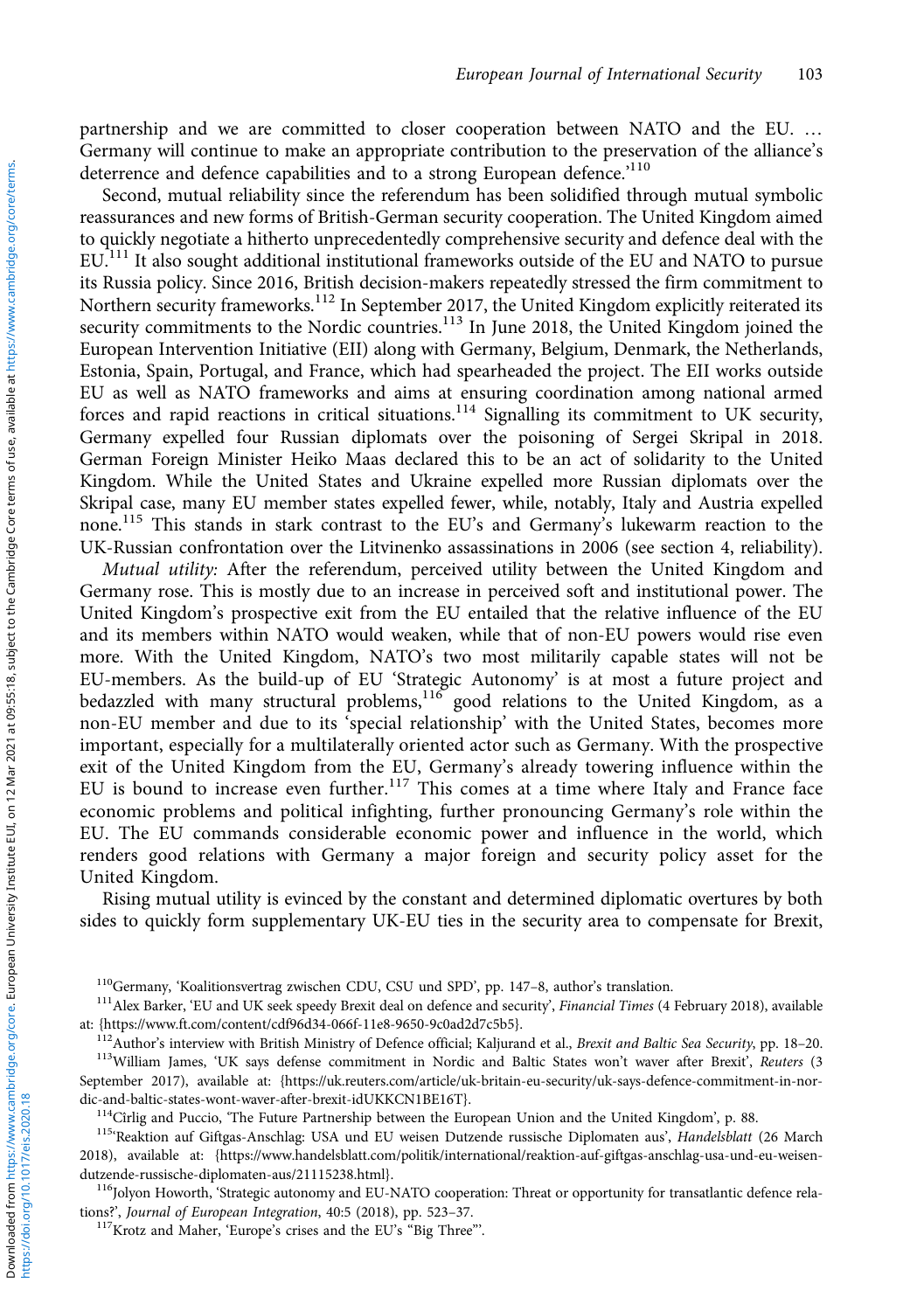partnership and we are committed to closer cooperation between NATO and the EU. … Germany will continue to make an appropriate contribution to the preservation of the alliance's deterrence and defence capabilities and to a strong European defence.'<sup>110</sup>

Second, mutual reliability since the referendum has been solidified through mutual symbolic reassurances and new forms of British-German security cooperation. The United Kingdom aimed to quickly negotiate a hitherto unprecedentedly comprehensive security and defence deal with the EU.<sup>111</sup> It also sought additional institutional frameworks outside of the EU and NATO to pursue its Russia policy. Since 2016, British decision-makers repeatedly stressed the firm commitment to Northern security frameworks.<sup>112</sup> In September 2017, the United Kingdom explicitly reiterated its security commitments to the Nordic countries.<sup>113</sup> In June 2018, the United Kingdom joined the European Intervention Initiative (EII) along with Germany, Belgium, Denmark, the Netherlands, Estonia, Spain, Portugal, and France, which had spearheaded the project. The EII works outside EU as well as NATO frameworks and aims at ensuring coordination among national armed forces and rapid reactions in critical situations.<sup>114</sup> Signalling its commitment to UK security, Germany expelled four Russian diplomats over the poisoning of Sergei Skripal in 2018. German Foreign Minister Heiko Maas declared this to be an act of solidarity to the United Kingdom. While the United States and Ukraine expelled more Russian diplomats over the Skripal case, many EU member states expelled fewer, while, notably, Italy and Austria expelled none.<sup>115</sup> This stands in stark contrast to the EU's and Germany's lukewarm reaction to the UK-Russian confrontation over the Litvinenko assassinations in 2006 (see section 4, reliability).

Mutual utility: After the referendum, perceived utility between the United Kingdom and Germany rose. This is mostly due to an increase in perceived soft and institutional power. The United Kingdom's prospective exit from the EU entailed that the relative influence of the EU and its members within NATO would weaken, while that of non-EU powers would rise even more. With the United Kingdom, NATO's two most militarily capable states will not be EU-members. As the build-up of EU 'Strategic Autonomy' is at most a future project and bedazzled with many structural problems,  $116$  good relations to the United Kingdom, as a non-EU member and due to its 'special relationship' with the United States, becomes more important, especially for a multilaterally oriented actor such as Germany. With the prospective exit of the United Kingdom from the EU, Germany's already towering influence within the EU is bound to increase even further.<sup>117</sup> This comes at a time where Italy and France face economic problems and political infighting, further pronouncing Germany's role within the EU. The EU commands considerable economic power and influence in the world, which renders good relations with Germany a major foreign and security policy asset for the United Kingdom.

Rising mutual utility is evinced by the constant and determined diplomatic overtures by both sides to quickly form supplementary UK-EU ties in the security area to compensate for Brexit,

<sup>112</sup>Author's interview with British Ministry of Defence official; Kaljurand et al., *Brexit and Baltic Sea Security*, pp. 18–20.<br><sup>113</sup>William James, 'UK says defense commitment in Nordic and Baltic States won't waver afte September 2017), available at: [{https://uk.reuters.com/article/uk-britain-eu-security/uk-says-defence-commitment-in-nor-](https://uk.reuters.com/article/uk-britain-eu-security/uk-says-defence-commitment-in-nordic-and-baltic-states-wont-waver-after-brexit-idUKKCN1BE16T)

[dic-and-baltic-states-wont-waver-after-brexit-idUKKCN1BE16T](https://uk.reuters.com/article/uk-britain-eu-security/uk-says-defence-commitment-in-nordic-and-baltic-states-wont-waver-after-brexit-idUKKCN1BE16T)}.<br><sup>114</sup>Cîrlig and Puccio, 'The Future Partnership between the European Union and the United Kingdom', p. 88.<br><sup>115</sup>'Reaktion auf Giftgas-Anschlag: USA und EU weise 2018), available at: [{https://www.handelsblatt.com/politik/international/reaktion-auf-giftgas-anschlag-usa-und-eu-weisen](https://www.handelsblatt.com/politik/international/reaktion-auf-giftgas-anschlag-usa-und-eu-weisen-dutzende-russische-diplomaten-aus/21115238.html)[dutzende-russische-diplomaten-aus/21115238.html}](https://www.handelsblatt.com/politik/international/reaktion-auf-giftgas-anschlag-usa-und-eu-weisen-dutzende-russische-diplomaten-aus/21115238.html).<br><sup>116</sup>Jolyon Howorth, 'Strategic autonomy and EU-NATO cooperation: Threat or opportunity for transatlantic defence rela-

tions?', Journal of European Integration, 40:5 (2018), pp. 523-37.<br><sup>117</sup>Krotz and Maher, 'Europe's crises and the EU's "Big Three"'.

<sup>&</sup>lt;sup>110</sup>Germany, 'Koalitionsvertrag zwischen CDU, CSU und SPD', pp. 147–8, author's translation.<br><sup>111</sup>Alex Barker, 'EU and UK seek speedy Brexit deal on defence and security', *Financial Times* (4 February 2018), available a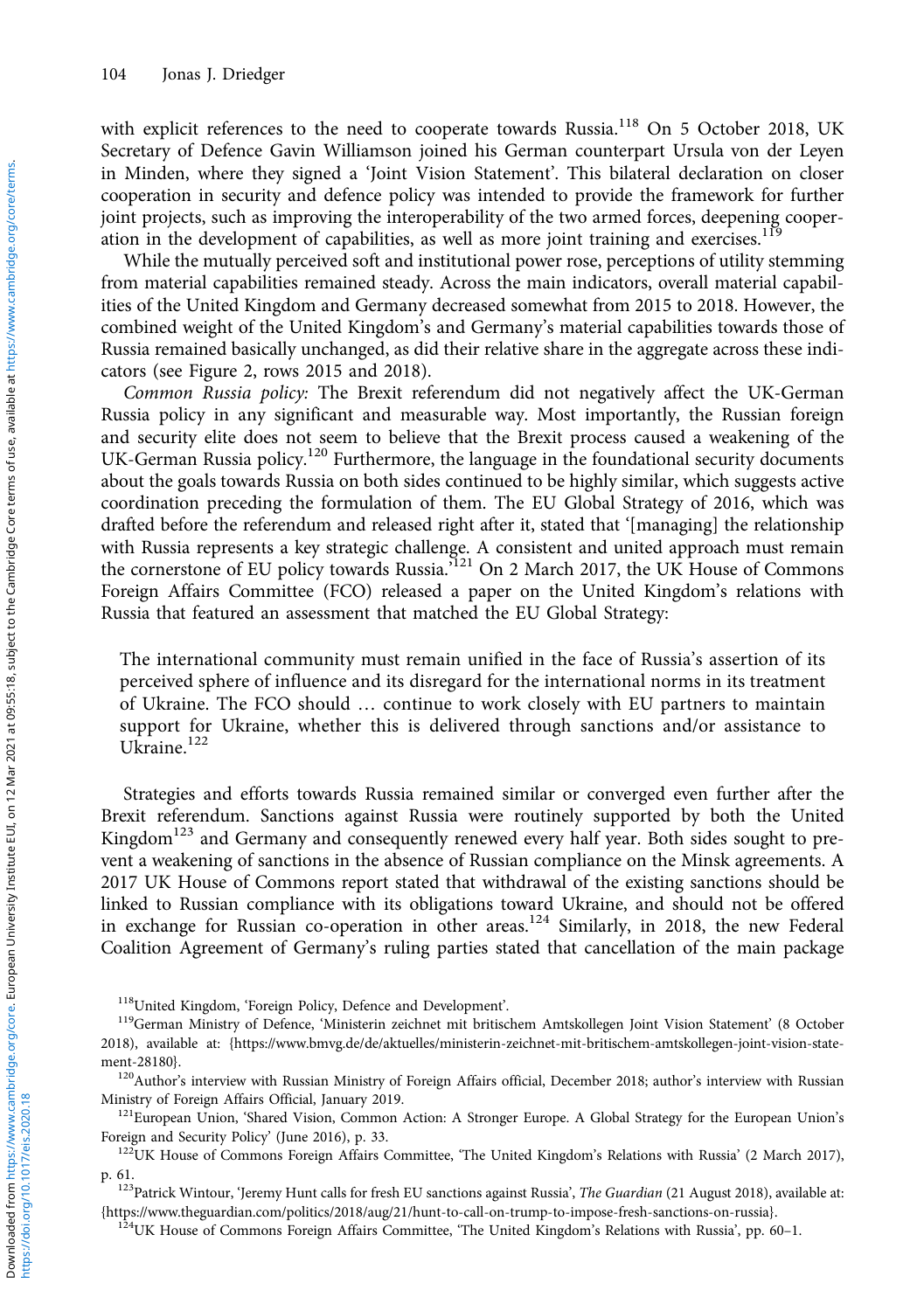with explicit references to the need to cooperate towards Russia.<sup>118</sup> On 5 October 2018, UK Secretary of Defence Gavin Williamson joined his German counterpart Ursula von der Leyen in Minden, where they signed a 'Joint Vision Statement'. This bilateral declaration on closer cooperation in security and defence policy was intended to provide the framework for further joint projects, such as improving the interoperability of the two armed forces, deepening cooperation in the development of capabilities, as well as more joint training and exercises.<sup>119</sup>

While the mutually perceived soft and institutional power rose, perceptions of utility stemming from material capabilities remained steady. Across the main indicators, overall material capabilities of the United Kingdom and Germany decreased somewhat from 2015 to 2018. However, the combined weight of the United Kingdom's and Germany's material capabilities towards those of Russia remained basically unchanged, as did their relative share in the aggregate across these indicators (see [Figure 2,](#page-11-0) rows 2015 and 2018).

Common Russia policy: The Brexit referendum did not negatively affect the UK-German Russia policy in any significant and measurable way. Most importantly, the Russian foreign and security elite does not seem to believe that the Brexit process caused a weakening of the UK-German Russia policy.<sup>120</sup> Furthermore, the language in the foundational security documents about the goals towards Russia on both sides continued to be highly similar, which suggests active coordination preceding the formulation of them. The EU Global Strategy of 2016, which was drafted before the referendum and released right after it, stated that '[managing] the relationship with Russia represents a key strategic challenge. A consistent and united approach must remain the cornerstone of EU policy towards Russia.<sup>'121</sup> On 2 March 2017, the UK House of Commons Foreign Affairs Committee (FCO) released a paper on the United Kingdom's relations with Russia that featured an assessment that matched the EU Global Strategy:

The international community must remain unified in the face of Russia's assertion of its perceived sphere of influence and its disregard for the international norms in its treatment of Ukraine. The FCO should … continue to work closely with EU partners to maintain support for Ukraine, whether this is delivered through sanctions and/or assistance to Ukraine.<sup>122</sup>

Strategies and efforts towards Russia remained similar or converged even further after the Brexit referendum. Sanctions against Russia were routinely supported by both the United Kingdom<sup>123</sup> and Germany and consequently renewed every half year. Both sides sought to prevent a weakening of sanctions in the absence of Russian compliance on the Minsk agreements. A 2017 UK House of Commons report stated that withdrawal of the existing sanctions should be linked to Russian compliance with its obligations toward Ukraine, and should not be offered in exchange for Russian co-operation in other areas.<sup>124</sup> Similarly, in 2018, the new Federal Coalition Agreement of Germany's ruling parties stated that cancellation of the main package

<sup>&</sup>lt;sup>118</sup>United Kingdom, 'Foreign Policy, Defence and Development'.<br><sup>119</sup>German Ministry of Defence, 'Ministerin zeichnet mit britischem Amtskollegen Joint Vision Statement' (8 October 2018), available at: [{https://www.bmvg.de/de/aktuelles/ministerin-zeichnet-mit-britischem-amtskollegen-joint-vision-state](https://www.bmvg.de/de/aktuelles/ministerin-zeichnet-mit-britischem-amtskollegen-joint-vision-statement-28180)[ment-28180](https://www.bmvg.de/de/aktuelles/ministerin-zeichnet-mit-britischem-amtskollegen-joint-vision-statement-28180)}.<br><sup>120</sup>Author's interview with Russian Ministry of Foreign Affairs official, December 2018; author's interview with Russian

Ministry of Foreign Affairs Official, January 2019.<br><sup>121</sup>European Union, 'Shared Vision, Common Action: A Stronger Europe. A Global Strategy for the European Union's

Foreign and Security Policy' (June 2016), p. 33.<br><sup>122</sup>UK House of Commons Foreign Affairs Committee, 'The United Kingdom's Relations with Russia' (2 March 2017),

p. 61.<br><sup>123</sup>Patrick Wintour, 'Jeremy Hunt calls for fresh EU sanctions against Russia', *The Guardian* (21 August 2018), available at: {[https://www.theguardian.com/politics/2018/aug/21/hunt-to-call-on-trump-to-impose-fresh-sanctions-on-russia}](https://www.theguardian.com/politics/2018/aug/21/hunt-to-call-on-trump-to-impose-fresh-sanctions-on-russia). 124UK House of Commons Foreign Affairs Committee, 'The United Kingdom's Relations with Russia', pp. 60–1.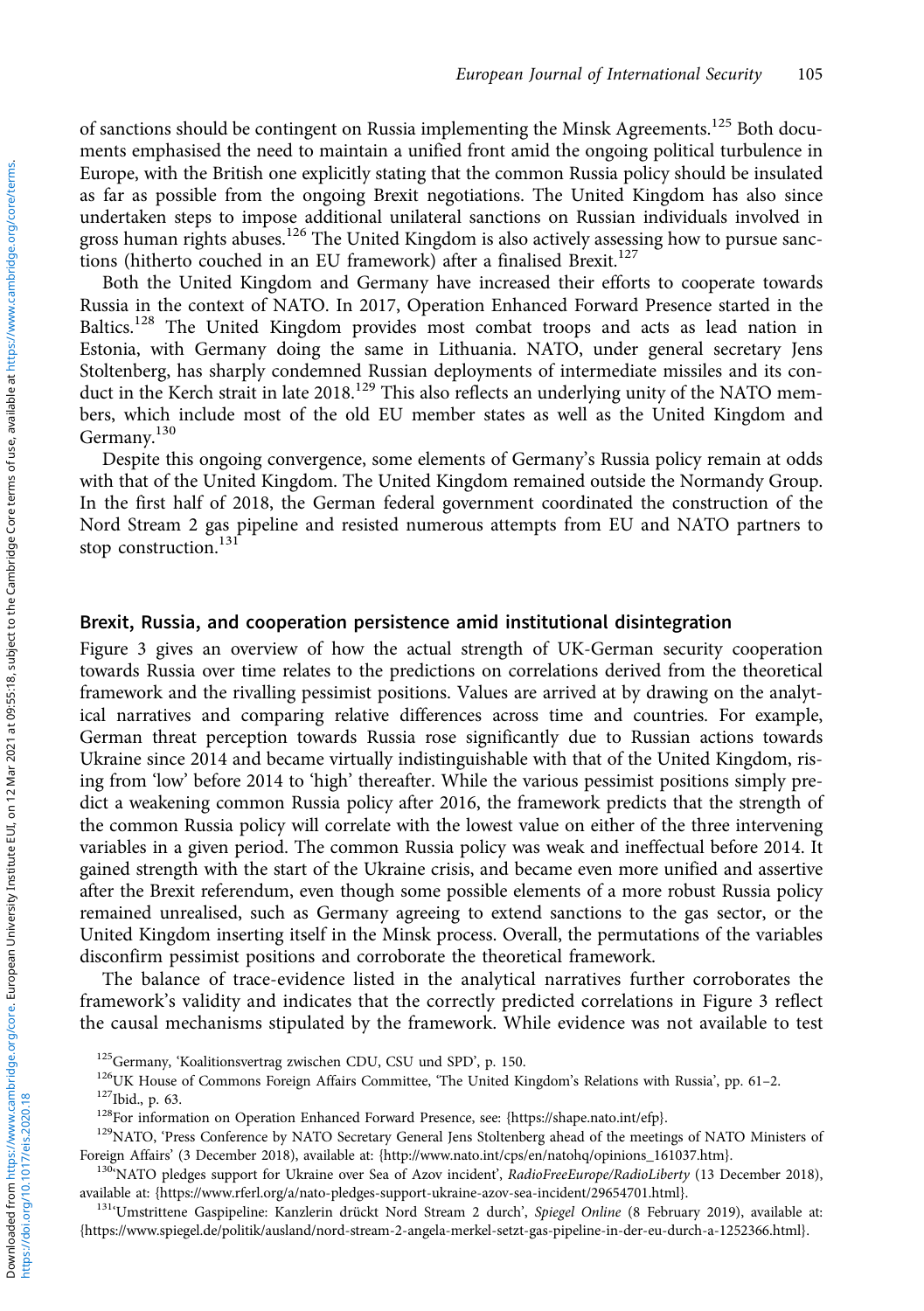of sanctions should be contingent on Russia implementing the Minsk Agreements.<sup>125</sup> Both documents emphasised the need to maintain a unified front amid the ongoing political turbulence in Europe, with the British one explicitly stating that the common Russia policy should be insulated as far as possible from the ongoing Brexit negotiations. The United Kingdom has also since undertaken steps to impose additional unilateral sanctions on Russian individuals involved in gross human rights abuses.<sup>126</sup> The United Kingdom is also actively assessing how to pursue sanctions (hitherto couched in an EU framework) after a finalised Brexit.<sup>127</sup>

Both the United Kingdom and Germany have increased their efforts to cooperate towards Russia in the context of NATO. In 2017, Operation Enhanced Forward Presence started in the Baltics.<sup>128</sup> The United Kingdom provides most combat troops and acts as lead nation in Estonia, with Germany doing the same in Lithuania. NATO, under general secretary Jens Stoltenberg, has sharply condemned Russian deployments of intermediate missiles and its conduct in the Kerch strait in late 2018.<sup>129</sup> This also reflects an underlying unity of the NATO members, which include most of the old EU member states as well as the United Kingdom and Germany.<sup>130</sup>

Despite this ongoing convergence, some elements of Germany's Russia policy remain at odds with that of the United Kingdom. The United Kingdom remained outside the Normandy Group. In the first half of 2018, the German federal government coordinated the construction of the Nord Stream 2 gas pipeline and resisted numerous attempts from EU and NATO partners to stop construction.<sup>131</sup>

## Brexit, Russia, and cooperation persistence amid institutional disintegration

[Figure 3](#page-20-0) gives an overview of how the actual strength of UK-German security cooperation towards Russia over time relates to the predictions on correlations derived from the theoretical framework and the rivalling pessimist positions. Values are arrived at by drawing on the analytical narratives and comparing relative differences across time and countries. For example, German threat perception towards Russia rose significantly due to Russian actions towards Ukraine since 2014 and became virtually indistinguishable with that of the United Kingdom, rising from 'low' before 2014 to 'high' thereafter. While the various pessimist positions simply predict a weakening common Russia policy after 2016, the framework predicts that the strength of the common Russia policy will correlate with the lowest value on either of the three intervening variables in a given period. The common Russia policy was weak and ineffectual before 2014. It gained strength with the start of the Ukraine crisis, and became even more unified and assertive after the Brexit referendum, even though some possible elements of a more robust Russia policy remained unrealised, such as Germany agreeing to extend sanctions to the gas sector, or the United Kingdom inserting itself in the Minsk process. Overall, the permutations of the variables disconfirm pessimist positions and corroborate the theoretical framework.

The balance of trace-evidence listed in the analytical narratives further corroborates the framework's validity and indicates that the correctly predicted correlations in [Figure 3](#page-20-0) reflect the causal mechanisms stipulated by the framework. While evidence was not available to test

<sup>131</sup>'Umstrittene Gaspipeline: Kanzlerin drückt Nord Stream 2 durch', Spiegel Online (8 February 2019), available at: [{https://www.spiegel.de/politik/ausland/nord-stream-2-angela-merkel-setzt-gas-pipeline-in-der-eu-durch-a-1252366.html}](https://www.spiegel.de/politik/ausland/nord-stream-2-angela-merkel-setzt-gas-pipeline-in-der-eu-durch-a-1252366.html).

<sup>&</sup>lt;sup>125</sup>Germany, 'Koalitionsvertrag zwischen CDU, CSU und SPD', p. 150.<br><sup>126</sup>UK House of Commons Foreign Affairs Committee, 'The United Kingdom's Relations with Russia', pp. 61–2.<br><sup>127</sup>Ibid., p. 63.<br><sup>128</sup>For information on O

Foreign Affairs' (3 December 2018), available at: {[http://www.nato.int/cps/en/natohq/opinions\\_161037.htm}](http://www.nato.int/cps/en/natohq/opinions_161037.htm).<br><sup>130</sup>'NATO pledges support for Ukraine over Sea of Azov incident', *RadioFreeEurope/RadioLiberty* (13 December 2018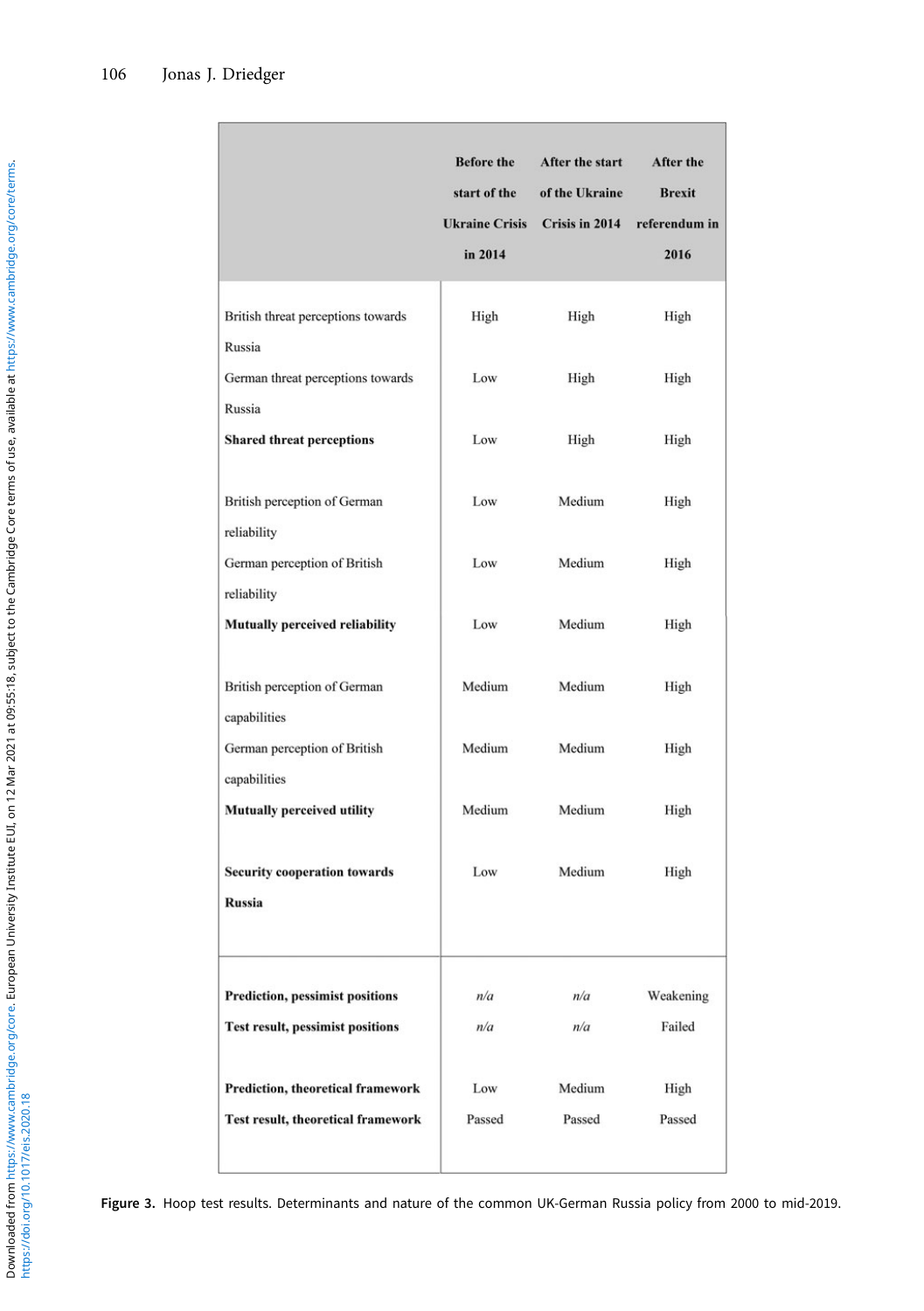<span id="page-20-0"></span>

|                                                                                   | <b>Before the</b><br>start of the<br><b>Ukraine Crisis</b><br>in 2014 | After the start<br>of the Ukraine<br>Crisis in 2014 | After the<br><b>Brexit</b><br>referendum in<br>2016 |
|-----------------------------------------------------------------------------------|-----------------------------------------------------------------------|-----------------------------------------------------|-----------------------------------------------------|
| British threat perceptions towards<br>Russia                                      | High                                                                  | High                                                | High                                                |
| German threat perceptions towards<br>Russia                                       | Low                                                                   | High                                                | High                                                |
| <b>Shared threat perceptions</b>                                                  | Low                                                                   | High                                                | High                                                |
| British perception of German                                                      | Low                                                                   | Medium                                              | High                                                |
| reliability<br>German perception of British                                       | Low                                                                   | Medium                                              | High                                                |
| reliability<br>Mutually perceived reliability                                     | Low                                                                   | Medium                                              | High                                                |
| British perception of German                                                      | Medium                                                                | Medium                                              | High                                                |
| capabilities<br>German perception of British                                      | Medium                                                                | Medium                                              | High                                                |
| capabilities<br>Mutually perceived utility                                        | Medium                                                                | Medium                                              | High                                                |
| <b>Security cooperation towards</b><br><b>Russia</b>                              | Low                                                                   | Medium                                              | High                                                |
| <b>Prediction, pessimist positions</b><br><b>Test result, pessimist positions</b> | n/a<br>n/a                                                            | n/a<br>n/a                                          | Weakening<br>Failed                                 |
| Prediction, theoretical framework<br><b>Test result, theoretical framework</b>    | Low<br>Passed                                                         | Medium<br>Passed                                    | High<br>Passed                                      |

Figure 3. Hoop test results. Determinants and nature of the common UK-German Russia policy from 2000 to mid-2019.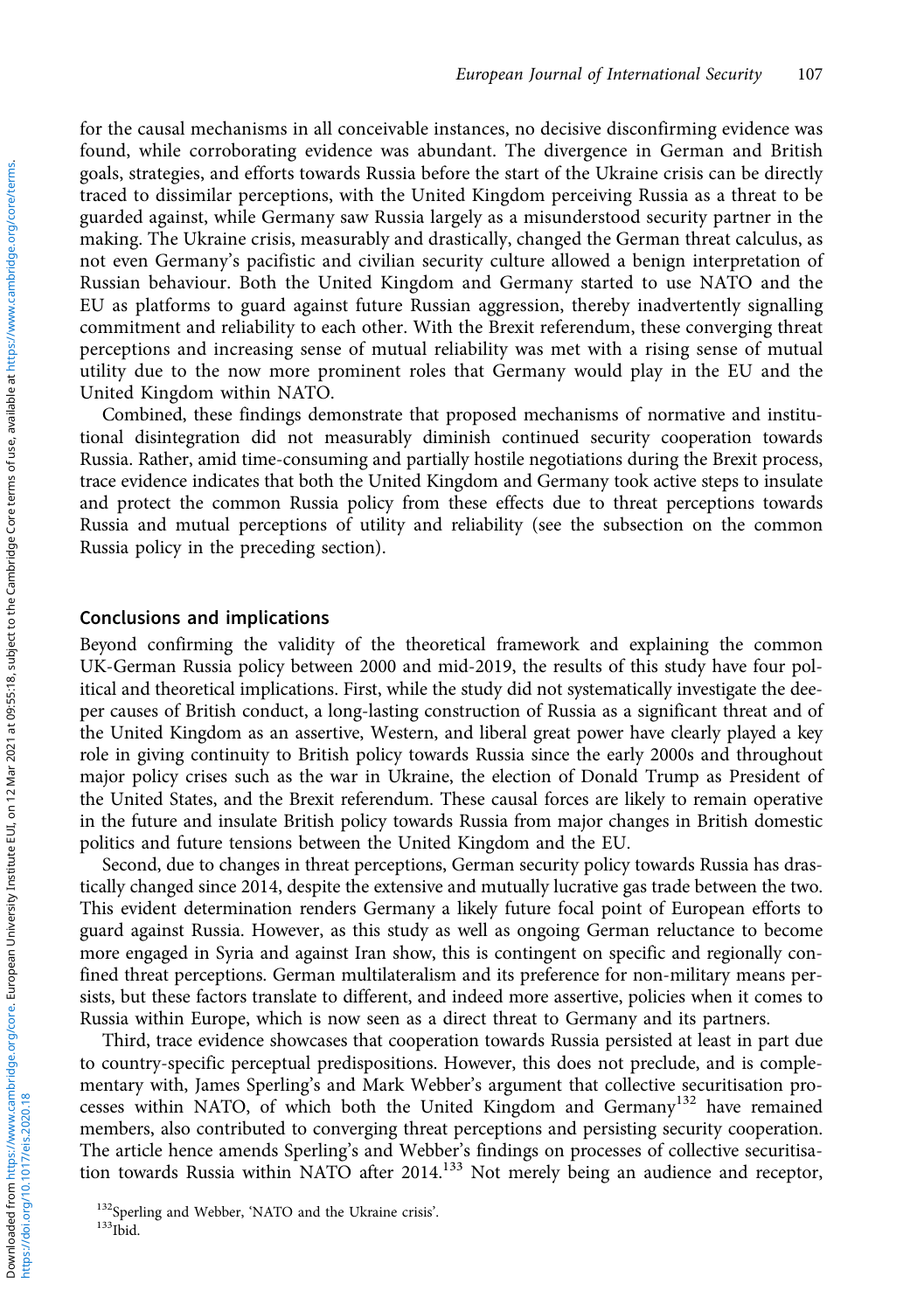for the causal mechanisms in all conceivable instances, no decisive disconfirming evidence was found, while corroborating evidence was abundant. The divergence in German and British goals, strategies, and efforts towards Russia before the start of the Ukraine crisis can be directly traced to dissimilar perceptions, with the United Kingdom perceiving Russia as a threat to be guarded against, while Germany saw Russia largely as a misunderstood security partner in the making. The Ukraine crisis, measurably and drastically, changed the German threat calculus, as not even Germany's pacifistic and civilian security culture allowed a benign interpretation of Russian behaviour. Both the United Kingdom and Germany started to use NATO and the EU as platforms to guard against future Russian aggression, thereby inadvertently signalling commitment and reliability to each other. With the Brexit referendum, these converging threat perceptions and increasing sense of mutual reliability was met with a rising sense of mutual utility due to the now more prominent roles that Germany would play in the EU and the United Kingdom within NATO.

Combined, these findings demonstrate that proposed mechanisms of normative and institutional disintegration did not measurably diminish continued security cooperation towards Russia. Rather, amid time-consuming and partially hostile negotiations during the Brexit process, trace evidence indicates that both the United Kingdom and Germany took active steps to insulate and protect the common Russia policy from these effects due to threat perceptions towards Russia and mutual perceptions of utility and reliability (see the subsection on the common Russia policy in the preceding section).

#### Conclusions and implications

Beyond confirming the validity of the theoretical framework and explaining the common UK-German Russia policy between 2000 and mid-2019, the results of this study have four political and theoretical implications. First, while the study did not systematically investigate the deeper causes of British conduct, a long-lasting construction of Russia as a significant threat and of the United Kingdom as an assertive, Western, and liberal great power have clearly played a key role in giving continuity to British policy towards Russia since the early 2000s and throughout major policy crises such as the war in Ukraine, the election of Donald Trump as President of the United States, and the Brexit referendum. These causal forces are likely to remain operative in the future and insulate British policy towards Russia from major changes in British domestic politics and future tensions between the United Kingdom and the EU.

Second, due to changes in threat perceptions, German security policy towards Russia has drastically changed since 2014, despite the extensive and mutually lucrative gas trade between the two. This evident determination renders Germany a likely future focal point of European efforts to guard against Russia. However, as this study as well as ongoing German reluctance to become more engaged in Syria and against Iran show, this is contingent on specific and regionally confined threat perceptions. German multilateralism and its preference for non-military means persists, but these factors translate to different, and indeed more assertive, policies when it comes to Russia within Europe, which is now seen as a direct threat to Germany and its partners.

Third, trace evidence showcases that cooperation towards Russia persisted at least in part due to country-specific perceptual predispositions. However, this does not preclude, and is complementary with, James Sperling's and Mark Webber's argument that collective securitisation processes within NATO, of which both the United Kingdom and Germany<sup>132</sup> have remained members, also contributed to converging threat perceptions and persisting security cooperation. The article hence amends Sperling's and Webber's findings on processes of collective securitisation towards Russia within NATO after 2014.<sup>133</sup> Not merely being an audience and receptor,

 $^{132}\rm{Sperling}$  and Webber, 'NATO and the Ukraine crisis'.  $^{133}\rm{Thid}$